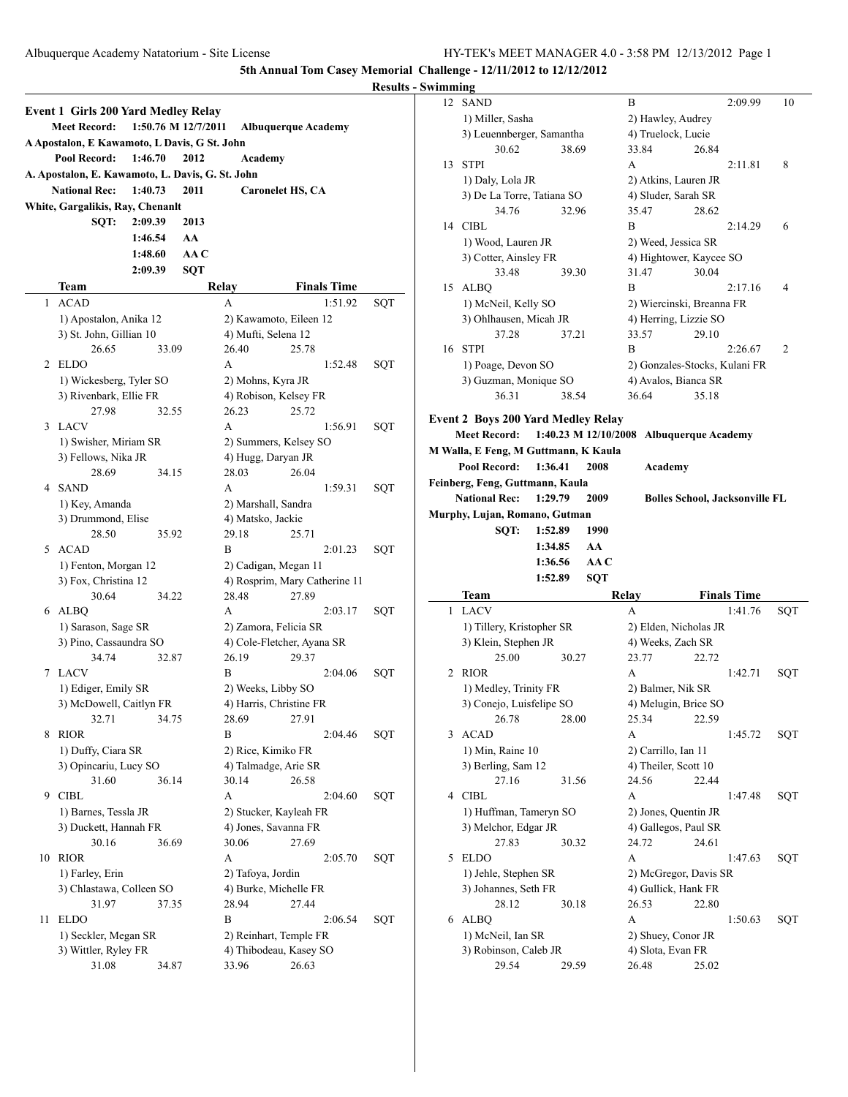|    |                                                                                                                                                                                                                                                                                                                                                                                                                                                                                                                                                                                                                                                                                                                                                                                                                                                                                                                                                                                                                                                                                                                                                                                                                                                                                                                                                                                                                                                                                                                                                                                                                                                                                                                                                                                                                                                                                                                                                                                                                                                                                    |       |      |                        |       |         | <b>Results</b> |
|----|------------------------------------------------------------------------------------------------------------------------------------------------------------------------------------------------------------------------------------------------------------------------------------------------------------------------------------------------------------------------------------------------------------------------------------------------------------------------------------------------------------------------------------------------------------------------------------------------------------------------------------------------------------------------------------------------------------------------------------------------------------------------------------------------------------------------------------------------------------------------------------------------------------------------------------------------------------------------------------------------------------------------------------------------------------------------------------------------------------------------------------------------------------------------------------------------------------------------------------------------------------------------------------------------------------------------------------------------------------------------------------------------------------------------------------------------------------------------------------------------------------------------------------------------------------------------------------------------------------------------------------------------------------------------------------------------------------------------------------------------------------------------------------------------------------------------------------------------------------------------------------------------------------------------------------------------------------------------------------------------------------------------------------------------------------------------------------|-------|------|------------------------|-------|---------|----------------|
|    |                                                                                                                                                                                                                                                                                                                                                                                                                                                                                                                                                                                                                                                                                                                                                                                                                                                                                                                                                                                                                                                                                                                                                                                                                                                                                                                                                                                                                                                                                                                                                                                                                                                                                                                                                                                                                                                                                                                                                                                                                                                                                    |       |      |                        |       |         |                |
|    |                                                                                                                                                                                                                                                                                                                                                                                                                                                                                                                                                                                                                                                                                                                                                                                                                                                                                                                                                                                                                                                                                                                                                                                                                                                                                                                                                                                                                                                                                                                                                                                                                                                                                                                                                                                                                                                                                                                                                                                                                                                                                    |       |      |                        |       |         |                |
|    |                                                                                                                                                                                                                                                                                                                                                                                                                                                                                                                                                                                                                                                                                                                                                                                                                                                                                                                                                                                                                                                                                                                                                                                                                                                                                                                                                                                                                                                                                                                                                                                                                                                                                                                                                                                                                                                                                                                                                                                                                                                                                    |       |      |                        |       |         |                |
|    | Pool Record:                                                                                                                                                                                                                                                                                                                                                                                                                                                                                                                                                                                                                                                                                                                                                                                                                                                                                                                                                                                                                                                                                                                                                                                                                                                                                                                                                                                                                                                                                                                                                                                                                                                                                                                                                                                                                                                                                                                                                                                                                                                                       |       | 2012 |                        |       |         |                |
|    |                                                                                                                                                                                                                                                                                                                                                                                                                                                                                                                                                                                                                                                                                                                                                                                                                                                                                                                                                                                                                                                                                                                                                                                                                                                                                                                                                                                                                                                                                                                                                                                                                                                                                                                                                                                                                                                                                                                                                                                                                                                                                    |       |      |                        |       |         |                |
|    |                                                                                                                                                                                                                                                                                                                                                                                                                                                                                                                                                                                                                                                                                                                                                                                                                                                                                                                                                                                                                                                                                                                                                                                                                                                                                                                                                                                                                                                                                                                                                                                                                                                                                                                                                                                                                                                                                                                                                                                                                                                                                    |       | 2011 |                        |       |         |                |
|    | Event 1 Girls 200 Yard Medley Relay<br>1:50.76 M 12/7/2011<br><b>Meet Record:</b><br><b>Albuquerque Academy</b><br>A Apostalon, E Kawamoto, L Davis, G St. John<br>1:46.70<br>Academy<br>A. Apostalon, E. Kawamoto, L. Davis, G. St. John<br><b>National Rec:</b><br>1:40.73<br><b>Caronelet HS, CA</b><br>White, Gargalikis, Ray, Chenanlt<br>SOT:<br>2:09.39<br>2013<br>1:46.54<br>AA<br>1:48.60<br>AA C<br><b>SQT</b><br>2:09.39<br><b>Finals Time</b><br>Team<br>Relay<br><b>ACAD</b><br>1:51.92<br>1<br>A<br>1) Apostalon, Anika 12<br>2) Kawamoto, Eileen 12<br>3) St. John, Gillian 10<br>4) Mufti, Selena 12<br>26.65<br>26.40<br>25.78<br>33.09<br><b>ELDO</b><br>2<br>A<br>1:52.48<br>1) Wickesberg, Tyler SO<br>2) Mohns, Kyra JR<br>3) Rivenbark, Ellie FR<br>4) Robison, Kelsey FR<br>26.23<br>27.98<br>32.55<br>25.72<br>3<br>LACV<br>A<br>1:56.91<br>1) Swisher, Miriam SR<br>2) Summers, Kelsey SO<br>4) Hugg, Daryan JR<br>3) Fellows, Nika JR<br>28.69<br>28.03<br>26.04<br>34.15<br><b>SAND</b><br>4<br>A<br>1:59.31<br>1) Key, Amanda<br>2) Marshall, Sandra<br>3) Drummond, Elise<br>4) Matsko, Jackie<br>25.71<br>28.50<br>29.18<br>35.92<br>ACAD<br>B<br>2:01.23<br>5<br>1) Fenton, Morgan 12<br>2) Cadigan, Megan 11<br>4) Rosprim, Mary Catherine 11<br>3) Fox, Christina 12<br>30.64<br>34.22<br>28.48<br>27.89<br>ALBQ<br>6<br>A<br>2:03.17<br>1) Sarason, Sage SR<br>2) Zamora, Felicia SR<br>3) Pino, Cassaundra SO<br>4) Cole-Fletcher, Ayana SR<br>34.74<br>32.87<br>26.19<br>29.37<br><b>LACV</b><br>7<br>B<br>2:04.06<br>1) Ediger, Emily SR<br>2) Weeks, Libby SO<br>4) Harris, Christine FR<br>3) McDowell, Caitlyn FR<br>32.71<br>34.75<br>28.69<br>27.91<br><b>RIOR</b><br>B<br>2:04.46<br>8<br>1) Duffy, Ciara SR<br>2) Rice, Kimiko FR<br>3) Opincariu, Lucy SO<br>4) Talmadge, Arie SR<br>31.60<br>30.14<br>26.58<br>36.14<br><b>CIBL</b><br>9<br>A<br>2:04.60<br>1) Barnes, Tessla JR<br>2) Stucker, Kayleah FR<br>3) Duckett, Hannah FR<br>4) Jones, Savanna FR<br>30.06<br>30.16<br>36.69<br>27.69<br>10<br><b>RIOR</b><br>A<br>2:05.70 |       |      |                        |       |         |                |
|    |                                                                                                                                                                                                                                                                                                                                                                                                                                                                                                                                                                                                                                                                                                                                                                                                                                                                                                                                                                                                                                                                                                                                                                                                                                                                                                                                                                                                                                                                                                                                                                                                                                                                                                                                                                                                                                                                                                                                                                                                                                                                                    |       |      |                        |       |         |                |
|    |                                                                                                                                                                                                                                                                                                                                                                                                                                                                                                                                                                                                                                                                                                                                                                                                                                                                                                                                                                                                                                                                                                                                                                                                                                                                                                                                                                                                                                                                                                                                                                                                                                                                                                                                                                                                                                                                                                                                                                                                                                                                                    |       |      |                        |       |         |                |
|    |                                                                                                                                                                                                                                                                                                                                                                                                                                                                                                                                                                                                                                                                                                                                                                                                                                                                                                                                                                                                                                                                                                                                                                                                                                                                                                                                                                                                                                                                                                                                                                                                                                                                                                                                                                                                                                                                                                                                                                                                                                                                                    |       |      |                        |       |         |                |
|    |                                                                                                                                                                                                                                                                                                                                                                                                                                                                                                                                                                                                                                                                                                                                                                                                                                                                                                                                                                                                                                                                                                                                                                                                                                                                                                                                                                                                                                                                                                                                                                                                                                                                                                                                                                                                                                                                                                                                                                                                                                                                                    |       |      |                        |       |         |                |
|    |                                                                                                                                                                                                                                                                                                                                                                                                                                                                                                                                                                                                                                                                                                                                                                                                                                                                                                                                                                                                                                                                                                                                                                                                                                                                                                                                                                                                                                                                                                                                                                                                                                                                                                                                                                                                                                                                                                                                                                                                                                                                                    |       |      |                        |       |         |                |
|    |                                                                                                                                                                                                                                                                                                                                                                                                                                                                                                                                                                                                                                                                                                                                                                                                                                                                                                                                                                                                                                                                                                                                                                                                                                                                                                                                                                                                                                                                                                                                                                                                                                                                                                                                                                                                                                                                                                                                                                                                                                                                                    |       |      |                        |       |         | SQT            |
|    |                                                                                                                                                                                                                                                                                                                                                                                                                                                                                                                                                                                                                                                                                                                                                                                                                                                                                                                                                                                                                                                                                                                                                                                                                                                                                                                                                                                                                                                                                                                                                                                                                                                                                                                                                                                                                                                                                                                                                                                                                                                                                    |       |      |                        |       |         |                |
|    |                                                                                                                                                                                                                                                                                                                                                                                                                                                                                                                                                                                                                                                                                                                                                                                                                                                                                                                                                                                                                                                                                                                                                                                                                                                                                                                                                                                                                                                                                                                                                                                                                                                                                                                                                                                                                                                                                                                                                                                                                                                                                    |       |      |                        |       |         |                |
|    |                                                                                                                                                                                                                                                                                                                                                                                                                                                                                                                                                                                                                                                                                                                                                                                                                                                                                                                                                                                                                                                                                                                                                                                                                                                                                                                                                                                                                                                                                                                                                                                                                                                                                                                                                                                                                                                                                                                                                                                                                                                                                    |       |      |                        |       |         |                |
|    |                                                                                                                                                                                                                                                                                                                                                                                                                                                                                                                                                                                                                                                                                                                                                                                                                                                                                                                                                                                                                                                                                                                                                                                                                                                                                                                                                                                                                                                                                                                                                                                                                                                                                                                                                                                                                                                                                                                                                                                                                                                                                    |       |      |                        |       |         | SQT            |
|    |                                                                                                                                                                                                                                                                                                                                                                                                                                                                                                                                                                                                                                                                                                                                                                                                                                                                                                                                                                                                                                                                                                                                                                                                                                                                                                                                                                                                                                                                                                                                                                                                                                                                                                                                                                                                                                                                                                                                                                                                                                                                                    |       |      |                        |       |         |                |
|    |                                                                                                                                                                                                                                                                                                                                                                                                                                                                                                                                                                                                                                                                                                                                                                                                                                                                                                                                                                                                                                                                                                                                                                                                                                                                                                                                                                                                                                                                                                                                                                                                                                                                                                                                                                                                                                                                                                                                                                                                                                                                                    |       |      |                        |       |         |                |
|    |                                                                                                                                                                                                                                                                                                                                                                                                                                                                                                                                                                                                                                                                                                                                                                                                                                                                                                                                                                                                                                                                                                                                                                                                                                                                                                                                                                                                                                                                                                                                                                                                                                                                                                                                                                                                                                                                                                                                                                                                                                                                                    |       |      |                        |       |         |                |
|    |                                                                                                                                                                                                                                                                                                                                                                                                                                                                                                                                                                                                                                                                                                                                                                                                                                                                                                                                                                                                                                                                                                                                                                                                                                                                                                                                                                                                                                                                                                                                                                                                                                                                                                                                                                                                                                                                                                                                                                                                                                                                                    |       |      |                        |       |         | SQT            |
|    |                                                                                                                                                                                                                                                                                                                                                                                                                                                                                                                                                                                                                                                                                                                                                                                                                                                                                                                                                                                                                                                                                                                                                                                                                                                                                                                                                                                                                                                                                                                                                                                                                                                                                                                                                                                                                                                                                                                                                                                                                                                                                    |       |      |                        |       |         |                |
|    |                                                                                                                                                                                                                                                                                                                                                                                                                                                                                                                                                                                                                                                                                                                                                                                                                                                                                                                                                                                                                                                                                                                                                                                                                                                                                                                                                                                                                                                                                                                                                                                                                                                                                                                                                                                                                                                                                                                                                                                                                                                                                    |       |      |                        |       |         |                |
|    |                                                                                                                                                                                                                                                                                                                                                                                                                                                                                                                                                                                                                                                                                                                                                                                                                                                                                                                                                                                                                                                                                                                                                                                                                                                                                                                                                                                                                                                                                                                                                                                                                                                                                                                                                                                                                                                                                                                                                                                                                                                                                    |       |      |                        |       |         | SQT            |
|    |                                                                                                                                                                                                                                                                                                                                                                                                                                                                                                                                                                                                                                                                                                                                                                                                                                                                                                                                                                                                                                                                                                                                                                                                                                                                                                                                                                                                                                                                                                                                                                                                                                                                                                                                                                                                                                                                                                                                                                                                                                                                                    |       |      |                        |       |         |                |
|    |                                                                                                                                                                                                                                                                                                                                                                                                                                                                                                                                                                                                                                                                                                                                                                                                                                                                                                                                                                                                                                                                                                                                                                                                                                                                                                                                                                                                                                                                                                                                                                                                                                                                                                                                                                                                                                                                                                                                                                                                                                                                                    |       |      |                        |       |         |                |
|    |                                                                                                                                                                                                                                                                                                                                                                                                                                                                                                                                                                                                                                                                                                                                                                                                                                                                                                                                                                                                                                                                                                                                                                                                                                                                                                                                                                                                                                                                                                                                                                                                                                                                                                                                                                                                                                                                                                                                                                                                                                                                                    |       |      |                        |       |         |                |
|    |                                                                                                                                                                                                                                                                                                                                                                                                                                                                                                                                                                                                                                                                                                                                                                                                                                                                                                                                                                                                                                                                                                                                                                                                                                                                                                                                                                                                                                                                                                                                                                                                                                                                                                                                                                                                                                                                                                                                                                                                                                                                                    |       |      |                        |       |         | SQT            |
|    |                                                                                                                                                                                                                                                                                                                                                                                                                                                                                                                                                                                                                                                                                                                                                                                                                                                                                                                                                                                                                                                                                                                                                                                                                                                                                                                                                                                                                                                                                                                                                                                                                                                                                                                                                                                                                                                                                                                                                                                                                                                                                    |       |      |                        |       |         |                |
|    |                                                                                                                                                                                                                                                                                                                                                                                                                                                                                                                                                                                                                                                                                                                                                                                                                                                                                                                                                                                                                                                                                                                                                                                                                                                                                                                                                                                                                                                                                                                                                                                                                                                                                                                                                                                                                                                                                                                                                                                                                                                                                    |       |      |                        |       |         |                |
|    |                                                                                                                                                                                                                                                                                                                                                                                                                                                                                                                                                                                                                                                                                                                                                                                                                                                                                                                                                                                                                                                                                                                                                                                                                                                                                                                                                                                                                                                                                                                                                                                                                                                                                                                                                                                                                                                                                                                                                                                                                                                                                    |       |      |                        |       |         |                |
|    |                                                                                                                                                                                                                                                                                                                                                                                                                                                                                                                                                                                                                                                                                                                                                                                                                                                                                                                                                                                                                                                                                                                                                                                                                                                                                                                                                                                                                                                                                                                                                                                                                                                                                                                                                                                                                                                                                                                                                                                                                                                                                    |       |      |                        |       |         | SQT            |
|    |                                                                                                                                                                                                                                                                                                                                                                                                                                                                                                                                                                                                                                                                                                                                                                                                                                                                                                                                                                                                                                                                                                                                                                                                                                                                                                                                                                                                                                                                                                                                                                                                                                                                                                                                                                                                                                                                                                                                                                                                                                                                                    |       |      |                        |       |         |                |
|    |                                                                                                                                                                                                                                                                                                                                                                                                                                                                                                                                                                                                                                                                                                                                                                                                                                                                                                                                                                                                                                                                                                                                                                                                                                                                                                                                                                                                                                                                                                                                                                                                                                                                                                                                                                                                                                                                                                                                                                                                                                                                                    |       |      |                        |       |         |                |
|    |                                                                                                                                                                                                                                                                                                                                                                                                                                                                                                                                                                                                                                                                                                                                                                                                                                                                                                                                                                                                                                                                                                                                                                                                                                                                                                                                                                                                                                                                                                                                                                                                                                                                                                                                                                                                                                                                                                                                                                                                                                                                                    |       |      |                        |       |         |                |
|    |                                                                                                                                                                                                                                                                                                                                                                                                                                                                                                                                                                                                                                                                                                                                                                                                                                                                                                                                                                                                                                                                                                                                                                                                                                                                                                                                                                                                                                                                                                                                                                                                                                                                                                                                                                                                                                                                                                                                                                                                                                                                                    |       |      |                        |       |         | SQT            |
|    |                                                                                                                                                                                                                                                                                                                                                                                                                                                                                                                                                                                                                                                                                                                                                                                                                                                                                                                                                                                                                                                                                                                                                                                                                                                                                                                                                                                                                                                                                                                                                                                                                                                                                                                                                                                                                                                                                                                                                                                                                                                                                    |       |      |                        |       |         |                |
|    |                                                                                                                                                                                                                                                                                                                                                                                                                                                                                                                                                                                                                                                                                                                                                                                                                                                                                                                                                                                                                                                                                                                                                                                                                                                                                                                                                                                                                                                                                                                                                                                                                                                                                                                                                                                                                                                                                                                                                                                                                                                                                    |       |      |                        |       |         |                |
|    |                                                                                                                                                                                                                                                                                                                                                                                                                                                                                                                                                                                                                                                                                                                                                                                                                                                                                                                                                                                                                                                                                                                                                                                                                                                                                                                                                                                                                                                                                                                                                                                                                                                                                                                                                                                                                                                                                                                                                                                                                                                                                    |       |      |                        |       |         | SQT            |
|    |                                                                                                                                                                                                                                                                                                                                                                                                                                                                                                                                                                                                                                                                                                                                                                                                                                                                                                                                                                                                                                                                                                                                                                                                                                                                                                                                                                                                                                                                                                                                                                                                                                                                                                                                                                                                                                                                                                                                                                                                                                                                                    |       |      |                        |       |         |                |
|    |                                                                                                                                                                                                                                                                                                                                                                                                                                                                                                                                                                                                                                                                                                                                                                                                                                                                                                                                                                                                                                                                                                                                                                                                                                                                                                                                                                                                                                                                                                                                                                                                                                                                                                                                                                                                                                                                                                                                                                                                                                                                                    |       |      |                        |       |         |                |
|    |                                                                                                                                                                                                                                                                                                                                                                                                                                                                                                                                                                                                                                                                                                                                                                                                                                                                                                                                                                                                                                                                                                                                                                                                                                                                                                                                                                                                                                                                                                                                                                                                                                                                                                                                                                                                                                                                                                                                                                                                                                                                                    |       |      |                        |       |         |                |
|    |                                                                                                                                                                                                                                                                                                                                                                                                                                                                                                                                                                                                                                                                                                                                                                                                                                                                                                                                                                                                                                                                                                                                                                                                                                                                                                                                                                                                                                                                                                                                                                                                                                                                                                                                                                                                                                                                                                                                                                                                                                                                                    |       |      |                        |       |         | SQT            |
|    |                                                                                                                                                                                                                                                                                                                                                                                                                                                                                                                                                                                                                                                                                                                                                                                                                                                                                                                                                                                                                                                                                                                                                                                                                                                                                                                                                                                                                                                                                                                                                                                                                                                                                                                                                                                                                                                                                                                                                                                                                                                                                    |       |      |                        |       |         |                |
|    |                                                                                                                                                                                                                                                                                                                                                                                                                                                                                                                                                                                                                                                                                                                                                                                                                                                                                                                                                                                                                                                                                                                                                                                                                                                                                                                                                                                                                                                                                                                                                                                                                                                                                                                                                                                                                                                                                                                                                                                                                                                                                    |       |      |                        |       |         |                |
|    |                                                                                                                                                                                                                                                                                                                                                                                                                                                                                                                                                                                                                                                                                                                                                                                                                                                                                                                                                                                                                                                                                                                                                                                                                                                                                                                                                                                                                                                                                                                                                                                                                                                                                                                                                                                                                                                                                                                                                                                                                                                                                    |       |      |                        |       |         |                |
|    |                                                                                                                                                                                                                                                                                                                                                                                                                                                                                                                                                                                                                                                                                                                                                                                                                                                                                                                                                                                                                                                                                                                                                                                                                                                                                                                                                                                                                                                                                                                                                                                                                                                                                                                                                                                                                                                                                                                                                                                                                                                                                    |       |      |                        |       |         | SQT            |
|    | 1) Farley, Erin                                                                                                                                                                                                                                                                                                                                                                                                                                                                                                                                                                                                                                                                                                                                                                                                                                                                                                                                                                                                                                                                                                                                                                                                                                                                                                                                                                                                                                                                                                                                                                                                                                                                                                                                                                                                                                                                                                                                                                                                                                                                    |       |      | 2) Tafoya, Jordin      |       |         |                |
|    | 3) Chlastawa, Colleen SO                                                                                                                                                                                                                                                                                                                                                                                                                                                                                                                                                                                                                                                                                                                                                                                                                                                                                                                                                                                                                                                                                                                                                                                                                                                                                                                                                                                                                                                                                                                                                                                                                                                                                                                                                                                                                                                                                                                                                                                                                                                           |       |      | 4) Burke, Michelle FR  |       |         |                |
|    | 31.97                                                                                                                                                                                                                                                                                                                                                                                                                                                                                                                                                                                                                                                                                                                                                                                                                                                                                                                                                                                                                                                                                                                                                                                                                                                                                                                                                                                                                                                                                                                                                                                                                                                                                                                                                                                                                                                                                                                                                                                                                                                                              | 37.35 |      | 28.94                  | 27.44 |         |                |
| 11 | <b>ELDO</b>                                                                                                                                                                                                                                                                                                                                                                                                                                                                                                                                                                                                                                                                                                                                                                                                                                                                                                                                                                                                                                                                                                                                                                                                                                                                                                                                                                                                                                                                                                                                                                                                                                                                                                                                                                                                                                                                                                                                                                                                                                                                        |       |      | B                      |       | 2:06.54 | SQT            |
|    | 1) Seckler, Megan SR                                                                                                                                                                                                                                                                                                                                                                                                                                                                                                                                                                                                                                                                                                                                                                                                                                                                                                                                                                                                                                                                                                                                                                                                                                                                                                                                                                                                                                                                                                                                                                                                                                                                                                                                                                                                                                                                                                                                                                                                                                                               |       |      | 2) Reinhart, Temple FR |       |         |                |
|    | 3) Wittler, Ryley FR                                                                                                                                                                                                                                                                                                                                                                                                                                                                                                                                                                                                                                                                                                                                                                                                                                                                                                                                                                                                                                                                                                                                                                                                                                                                                                                                                                                                                                                                                                                                                                                                                                                                                                                                                                                                                                                                                                                                                                                                                                                               |       |      | 4) Thibodeau, Kasey SO |       |         |                |
|    | 31.08                                                                                                                                                                                                                                                                                                                                                                                                                                                                                                                                                                                                                                                                                                                                                                                                                                                                                                                                                                                                                                                                                                                                                                                                                                                                                                                                                                                                                                                                                                                                                                                                                                                                                                                                                                                                                                                                                                                                                                                                                                                                              | 34.87 |      | 33.96                  | 26.63 |         |                |

| - Swimming   |                                           |                      |                         |                                       |                |
|--------------|-------------------------------------------|----------------------|-------------------------|---------------------------------------|----------------|
| 12           | <b>SAND</b>                               |                      | B                       | 2:09.99                               | 10             |
|              | 1) Miller, Sasha                          |                      | 2) Hawley, Audrey       |                                       |                |
|              | 3) Leuennberger, Samantha                 |                      | 4) Truelock, Lucie      |                                       |                |
|              | 30.62                                     | 38.69                | 33.84                   | 26.84                                 |                |
| 13           | <b>STPI</b>                               |                      | А                       | 2:11.81                               | 8              |
|              | 1) Daly, Lola JR                          |                      | 2) Atkins, Lauren JR    |                                       |                |
|              | 3) De La Torre, Tatiana SO                |                      | 4) Sluder, Sarah SR     |                                       |                |
|              | 34.76                                     | 32.96                | 35.47                   | 28.62                                 |                |
| 14           | <b>CIBL</b>                               |                      | B                       | 2:14.29                               | 6              |
|              | 1) Wood, Lauren JR                        |                      | 2) Weed, Jessica SR     |                                       |                |
|              | 3) Cotter, Ainsley FR                     |                      | 4) Hightower, Kaycee SO |                                       |                |
|              | 33.48                                     | 39.30                | 31.47                   | 30.04                                 |                |
|              | 15 ALBQ                                   |                      | B                       | 2:17.16                               | $\overline{4}$ |
|              | 1) McNeil, Kelly SO                       |                      |                         | 2) Wiercinski, Breanna FR             |                |
|              | 3) Ohlhausen, Micah JR                    |                      | 4) Herring, Lizzie SO   |                                       |                |
|              | 37.28                                     | 37.21                | 33.57                   | 29.10                                 |                |
|              | 16 STPI                                   |                      | B                       | 2:26.67                               | 2              |
|              | 1) Poage, Devon SO                        |                      |                         | 2) Gonzales-Stocks, Kulani FR         |                |
|              | 3) Guzman, Monique SO                     |                      | 4) Avalos, Bianca SR    |                                       |                |
|              | 36.31                                     | 38.54                | 36.64                   | 35.18                                 |                |
|              |                                           |                      |                         |                                       |                |
|              | <b>Event 2 Boys 200 Yard Medley Relay</b> |                      |                         |                                       |                |
|              | <b>Meet Record:</b>                       | 1:40.23 M 12/10/2008 |                         | <b>Albuquerque Academy</b>            |                |
|              | M Walla, E Feng, M Guttmann, K Kaula      |                      |                         |                                       |                |
|              | <b>Pool Record:</b><br>1:36.41            | 2008                 | Academy                 |                                       |                |
|              | Feinberg, Feng, Guttmann, Kaula           |                      |                         |                                       |                |
|              |                                           |                      |                         |                                       |                |
|              | <b>National Rec:</b><br>1:29.79           | 2009                 |                         | <b>Bolles School, Jacksonville FL</b> |                |
|              | Murphy, Lujan, Romano, Gutman             |                      |                         |                                       |                |
|              | SQT:<br>1:52.89                           | 1990                 |                         |                                       |                |
|              | 1:34.85                                   | AA                   |                         |                                       |                |
|              | 1:36.56                                   | AA C                 |                         |                                       |                |
|              | 1:52.89                                   | <b>SQT</b>           |                         |                                       |                |
|              | Team                                      |                      | Relay                   | <b>Finals Time</b>                    |                |
| $\mathbf{1}$ | LACV                                      |                      | A                       | 1:41.76                               | SQT            |
|              | 1) Tillery, Kristopher SR                 |                      | 2) Elden, Nicholas JR   |                                       |                |
|              | 3) Klein, Stephen JR                      |                      | 4) Weeks, Zach SR       |                                       |                |
|              | 25.00                                     | 30.27                | 23.77                   | 22.72                                 |                |
| 2            | RIOR                                      |                      | А                       | 1:42.71                               | SQT            |
|              | 1) Medley, Trinity FR                     |                      | 2) Balmer, Nik SR       |                                       |                |
|              | 3) Conejo, Luisfelipe SO                  |                      | 4) Melugin, Brice SO    |                                       |                |
|              | 26.78                                     | 28.00                | 25.34                   | 22.59                                 |                |
|              | 3 ACAD                                    |                      | А                       | 1:45.72                               | SQT            |
|              | 1) Min, Raine 10                          |                      | 2) Carrillo, Ian 11     |                                       |                |
|              | 3) Berling, Sam 12                        |                      | 4) Theiler, Scott 10    |                                       |                |
|              | 27.16                                     | 31.56                | 24.56                   | 22.44                                 |                |
|              | 4 CIBL                                    |                      | A                       | 1:47.48                               | SQT            |
|              | 1) Huffman, Tameryn SO                    |                      | 2) Jones, Quentin JR    |                                       |                |
|              | 3) Melchor, Edgar JR                      |                      | 4) Gallegos, Paul SR    |                                       |                |
|              | 27.83                                     | 30.32                | 24.72                   | 24.61                                 |                |
| 5            | <b>ELDO</b>                               |                      | А                       | 1:47.63                               | SQT            |
|              | 1) Jehle, Stephen SR                      |                      | 2) McGregor, Davis SR   |                                       |                |
|              | 3) Johannes, Seth FR                      |                      | 4) Gullick, Hank FR     |                                       |                |
|              | 28.12                                     | 30.18                | 26.53                   | 22.80                                 |                |
|              | 6 ALBQ                                    |                      | A                       | 1:50.63                               | SQT            |
|              | 1) McNeil, Ian SR                         |                      | 2) Shuey, Conor JR      |                                       |                |
|              | 3) Robinson, Caleb JR                     |                      | 4) Slota, Evan FR       |                                       |                |
|              | 29.54                                     | 29.59                | 26.48                   | 25.02                                 |                |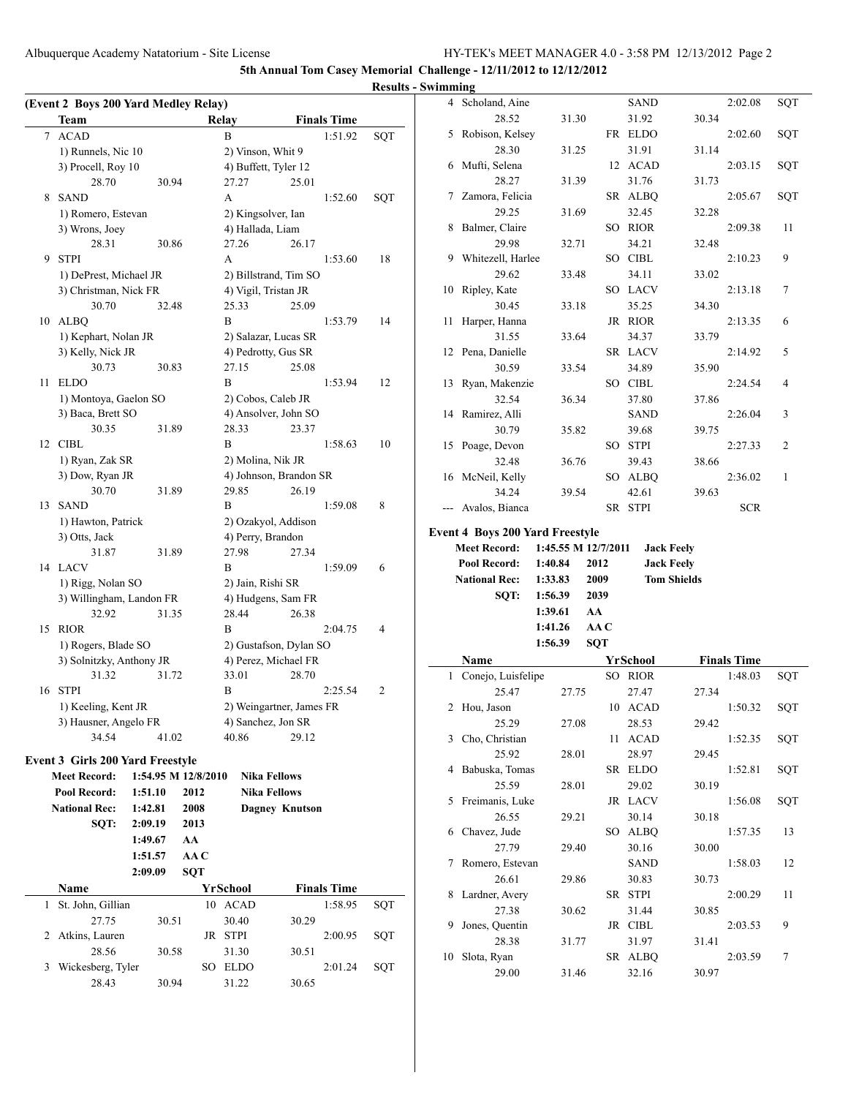Albuquerque Academy Natatorium - Site License HY-TEK's MEET MANAGER 4.0 - 3:58 PM 12/13/2012 Page 2

**5th Annual Tom Casey Memorial Challenge - 12/11/2012 to 12/12/2012**

|                                      |                       |                               |                          |     | $\sim$ $\cdots$ |                                        |                     |            |                  |                    |                    |        |
|--------------------------------------|-----------------------|-------------------------------|--------------------------|-----|-----------------|----------------------------------------|---------------------|------------|------------------|--------------------|--------------------|--------|
| (Event 2 Boys 200 Yard Medley Relay) |                       |                               |                          |     |                 | 4 Scholand, Aine                       |                     |            | <b>SAND</b>      |                    | 2:02.08            | SQT    |
| <b>Team</b>                          |                       | Relay                         | <b>Finals Time</b>       |     |                 | 28.52                                  | 31.30               |            | 31.92            | 30.34              |                    |        |
| 7 ACAD                               |                       | B                             | 1:51.92                  | SQT |                 | 5 Robison, Kelsey                      |                     |            | FR ELDO          |                    | 2:02.60            | SQT    |
| 1) Runnels, Nic 10                   |                       | 2) Vinson, Whit 9             |                          |     |                 | 28.30                                  | 31.25               |            | 31.91            | 31.14              |                    |        |
| 3) Procell, Roy 10                   |                       | 4) Buffett, Tyler 12          |                          |     |                 | 6 Mufti, Selena                        |                     |            | 12 ACAD          |                    | 2:03.15            | SQT    |
| 28.70                                | 30.94                 | 27.27                         | 25.01                    |     |                 | 28.27                                  | 31.39               |            | 31.76            | 31.73              |                    |        |
| 8 SAND                               |                       | A                             | 1:52.60                  | SQT |                 | 7 Zamora, Felicia                      |                     |            | SR ALBQ          |                    | 2:05.67            | SQT    |
| 1) Romero, Estevan                   |                       | 2) Kingsolver, Ian            |                          |     |                 | 29.25                                  | 31.69               |            | 32.45            | 32.28              |                    |        |
| 3) Wrons, Joey                       |                       | 4) Hallada, Liam              |                          |     |                 | 8 Balmer, Claire                       |                     |            | SO RIOR          |                    | 2:09.38            | 11     |
| 28.31                                | 30.86                 | 27.26                         | 26.17                    |     |                 | 29.98                                  | 32.71               |            | 34.21            | 32.48              |                    |        |
| 9 STPI                               |                       | A                             | 1:53.60                  | 18  |                 | 9 Whitezell, Harlee                    |                     |            | SO CIBL          |                    | 2:10.23            | 9      |
| 1) DePrest, Michael JR               |                       |                               | 2) Billstrand, Tim SO    |     |                 | 29.62                                  | 33.48               |            | 34.11            | 33.02              |                    |        |
| 3) Christman, Nick FR                |                       |                               |                          |     |                 | 10 Ripley, Kate                        |                     |            | SO LACV          |                    | 2:13.18            | 7      |
| 30.70                                |                       | 4) Vigil, Tristan JR<br>25.33 | 25.09                    |     |                 | 30.45                                  | 33.18               |            | 35.25            | 34.30              |                    |        |
|                                      | 32.48                 | B                             |                          |     |                 |                                        |                     |            |                  |                    |                    |        |
| 10 ALBQ                              |                       |                               | 1:53.79                  | 14  |                 | 11 Harper, Hanna                       |                     |            | JR RIOR          |                    | 2:13.35            | 6      |
| 1) Kephart, Nolan JR                 |                       | 2) Salazar, Lucas SR          |                          |     |                 | 31.55                                  | 33.64               |            | 34.37            | 33.79              |                    |        |
| 3) Kelly, Nick JR                    |                       | 4) Pedrotty, Gus SR           |                          |     |                 | 12 Pena, Danielle                      |                     |            | SR LACV          |                    | 2:14.92            | 5      |
| 30.73                                | 30.83                 | 27.15                         | 25.08                    |     |                 | 30.59                                  | 33.54               |            | 34.89            | 35.90              |                    |        |
| 11 ELDO                              |                       | B                             | 1:53.94                  | 12  |                 | 13 Ryan, Makenzie                      |                     |            | SO CIBL          |                    | 2:24.54            | 4      |
| 1) Montoya, Gaelon SO                |                       | 2) Cobos, Caleb JR            |                          |     |                 | 32.54                                  | 36.34               |            | 37.80            | 37.86              |                    |        |
| 3) Baca, Brett SO                    |                       |                               | 4) Ansolver, John SO     |     |                 | 14 Ramirez, Alli                       |                     |            | <b>SAND</b>      |                    | 2:26.04            | 3      |
| 30.35                                | 31.89                 | 28.33                         | 23.37                    |     |                 | 30.79                                  | 35.82               |            | 39.68            | 39.75              |                    |        |
| 12 CIBL                              |                       | B                             | 1:58.63                  | 10  |                 | 15 Poage, Devon                        |                     |            | SO STPI          |                    | 2:27.33            | 2      |
| 1) Ryan, Zak SR                      |                       | 2) Molina, Nik JR             |                          |     |                 | 32.48                                  | 36.76               |            | 39.43            | 38.66              |                    |        |
| 3) Dow, Ryan JR                      |                       |                               | 4) Johnson, Brandon SR   |     |                 | 16 McNeil, Kelly                       |                     |            | SO ALBQ          |                    | 2:36.02            | 1      |
| 30.70                                | 31.89                 | 29.85                         | 26.19                    |     |                 | 34.24                                  | 39.54               |            | 42.61            | 39.63              |                    |        |
| 13 SAND                              |                       | B                             | 1:59.08                  | 8   |                 | --- Avalos, Bianca                     |                     |            | SR STPI          |                    | <b>SCR</b>         |        |
| 1) Hawton, Patrick                   |                       | 2) Ozakyol, Addison           |                          |     |                 |                                        |                     |            |                  |                    |                    |        |
| 3) Otts, Jack                        |                       | 4) Perry, Brandon             |                          |     |                 | <b>Event 4 Boys 200 Yard Freestyle</b> |                     |            |                  |                    |                    |        |
| 31.87                                | 31.89                 | 27.98                         | 27.34                    |     |                 | <b>Meet Record:</b>                    | 1:45.55 M 12/7/2011 |            |                  | <b>Jack Feely</b>  |                    |        |
| 14 LACV                              |                       | B                             | 1:59.09                  | 6   |                 | Pool Record:                           | 1:40.84             | 2012       |                  | <b>Jack Feely</b>  |                    |        |
| 1) Rigg, Nolan SO                    |                       | 2) Jain, Rishi SR             |                          |     |                 | <b>National Rec:</b>                   | 1:33.83             | 2009       |                  | <b>Tom Shields</b> |                    |        |
| 3) Willingham, Landon FR             |                       |                               |                          |     |                 |                                        |                     |            |                  |                    |                    |        |
|                                      |                       |                               | 4) Hudgens, Sam FR       |     |                 | SQT:                                   | 1:56.39             | 2039       |                  |                    |                    |        |
| 32.92                                | 31.35                 |                               |                          |     |                 |                                        | 1:39.61             | AA         |                  |                    |                    |        |
|                                      |                       | 28.44<br>B                    | 26.38                    | 4   |                 |                                        | 1:41.26             | AAC        |                  |                    |                    |        |
| 15 RIOR                              |                       |                               | 2:04.75                  |     |                 |                                        | 1:56.39             | <b>SQT</b> |                  |                    |                    |        |
| 1) Rogers, Blade SO                  |                       |                               | 2) Gustafson, Dylan SO   |     |                 |                                        |                     |            |                  |                    |                    |        |
| 3) Solnitzky, Anthony JR             |                       |                               | 4) Perez, Michael FR     |     |                 | Name                                   |                     |            | YrSchool         |                    | <b>Finals Time</b> |        |
| 31.32                                | 31.72                 | 33.01                         | 28.70                    |     |                 | 1 Conejo, Luisfelipe                   |                     |            | SO RIOR          |                    | 1:48.03            | SQT    |
| 16 STPI                              |                       | B                             | 2:25.54                  | 2   |                 | 25.47                                  | 27.75               |            | 27.47            | 27.34              |                    |        |
| 1) Keeling, Kent JR                  |                       |                               | 2) Weingartner, James FR |     |                 | 2 Hou, Jason                           |                     |            | 10 ACAD          |                    | 1:50.32            | SQT    |
| 3) Hausner, Angelo FR                |                       | 4) Sanchez, Jon SR            |                          |     |                 | 25.29                                  | 27.08               |            | 28.53            | 29.42              |                    |        |
| 34.54                                | 41.02                 | 40.86                         | 29.12                    |     |                 | 3 Cho, Christian                       |                     |            | 11 ACAD          |                    | 1:52.35            | SQT    |
| Event 3 Girls 200 Yard Freestyle     |                       |                               |                          |     |                 | 25.92                                  | 28.01               |            | 28.97            | 29.45              |                    |        |
| <b>Meet Record:</b>                  | 1:54.95 M 12/8/2010   |                               | <b>Nika Fellows</b>      |     |                 | 4 Babuska, Tomas                       |                     |            | SR ELDO          |                    | 1:52.81            | SQT    |
| Pool Record:                         | 1:51.10<br>2012       |                               | <b>Nika Fellows</b>      |     |                 | 25.59                                  | 28.01               |            | 29.02            | 30.19              |                    |        |
|                                      |                       |                               |                          |     |                 | 5 Freimanis, Luke                      |                     |            | JR LACV          |                    | 1:56.08            | SQT    |
| <b>National Rec:</b>                 | 1:42.81<br>2008       |                               | <b>Dagney Knutson</b>    |     |                 | 26.55                                  | 29.21               |            | 30.14            | 30.18              |                    |        |
| SQT:                                 | 2:09.19<br>2013       |                               |                          |     |                 | 6 Chavez, Jude                         |                     |            | SO ALBQ          |                    | 1:57.35            | 13     |
|                                      | 1:49.67<br>AA         |                               |                          |     |                 | 27.79                                  | 29.40               |            | 30.16            | 30.00              |                    |        |
|                                      | 1:51.57<br>AA C       |                               |                          |     |                 | 7 Romero, Estevan                      |                     |            | <b>SAND</b>      |                    | 1:58.03            | 12     |
|                                      | 2:09.09<br><b>SQT</b> |                               |                          |     |                 | 26.61                                  | 29.86               |            | 30.83            | 30.73              |                    |        |
| Name                                 |                       | <b>YrSchool</b>               | <b>Finals Time</b>       |     |                 | 8 Lardner, Avery                       |                     |            | SR STPI          |                    | 2:00.29            | 11     |
| 1 St. John, Gillian                  |                       | 10 ACAD                       | 1:58.95                  | SQT |                 | 27.38                                  | 30.62               |            | 31.44            | 30.85              |                    |        |
| 27.75                                | 30.51                 | 30.40                         | 30.29                    |     |                 | 9 Jones, Quentin                       |                     |            | JR CIBL          |                    | 2:03.53            | 9      |
| 2 Atkins, Lauren                     |                       | JR STPI                       | 2:00.95                  | SQT |                 | 28.38                                  | 31.77               |            |                  | 31.41              |                    |        |
| 28.56                                | 30.58                 | 31.30                         | 30.51                    |     |                 |                                        |                     |            | 31.97            |                    |                    |        |
| 3 Wickesberg, Tyler                  |                       | SO ELDO                       | 2:01.24                  | SQT |                 | 10 Slota, Ryan<br>29.00                | 31.46               |            | SR ALBQ<br>32.16 | 30.97              | 2:03.59            | $\tau$ |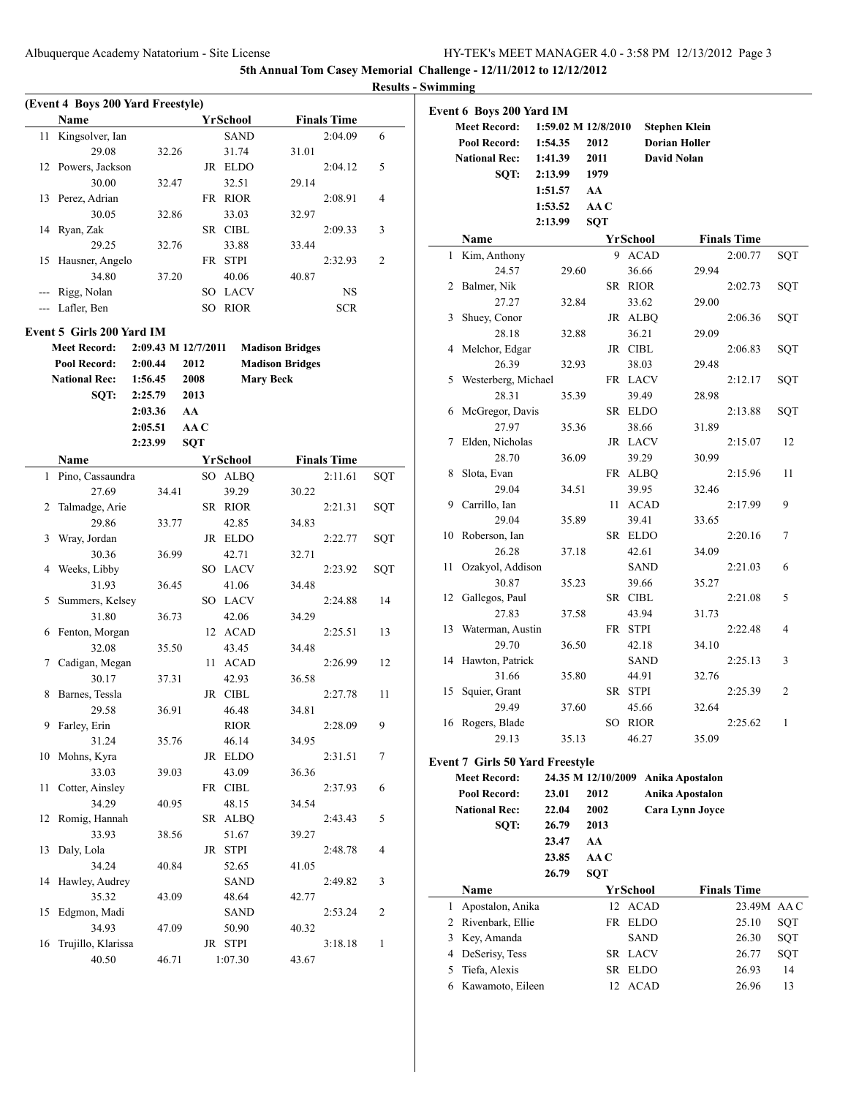|    | (Event 4 Boys 200 Yard Freestyle) |                     |            |                 |                        |     |
|----|-----------------------------------|---------------------|------------|-----------------|------------------------|-----|
|    | Name                              |                     |            | <b>YrSchool</b> | <b>Finals Time</b>     |     |
| 11 | Kingsolver, Ian                   |                     |            | <b>SAND</b>     | 2:04.09                | 6   |
|    | 29.08                             | 32.26               |            | 31.74           | 31.01                  |     |
| 12 | Powers, Jackson                   |                     |            | JR ELDO         | 2:04.12                | 5   |
|    | 30.00                             | 32.47               |            | 32.51           | 29.14                  |     |
| 13 | Perez, Adrian                     |                     |            | FR RIOR         | 2:08.91                | 4   |
|    | 30.05                             | 32.86               |            | 33.03           | 32.97                  |     |
| 14 | Ryan, Zak                         |                     |            | SR CIBL         | 2:09.33                | 3   |
|    | 29.25                             | 32.76               |            | 33.88           | 33.44                  |     |
| 15 | Hausner, Angelo                   |                     | FR         | <b>STPI</b>     | 2:32.93                | 2   |
|    | 34.80                             | 37.20               |            | 40.06           | 40.87                  |     |
|    | --- Rigg, Nolan                   |                     |            | SO LACV         | NS                     |     |
|    | --- Lafler, Ben                   |                     | SO         | <b>RIOR</b>     | <b>SCR</b>             |     |
|    | Event 5 Girls 200 Yard IM         |                     |            |                 |                        |     |
|    | <b>Meet Record:</b>               | 2:09.43 M 12/7/2011 |            |                 | <b>Madison Bridges</b> |     |
|    | <b>Pool Record:</b>               | 2:00.44             | 2012       |                 | <b>Madison Bridges</b> |     |
|    | <b>National Rec:</b>              | 1:56.45             | 2008       |                 | <b>Mary Beck</b>       |     |
|    | SQT:                              | 2:25.79             | 2013       |                 |                        |     |
|    |                                   | 2:03.36             | AA         |                 |                        |     |
|    |                                   | 2:05.51             | AA C       |                 |                        |     |
|    |                                   | 2:23.99             | <b>SQT</b> |                 |                        |     |
|    | Name                              |                     |            | <b>YrSchool</b> | <b>Finals Time</b>     |     |
| 1  | Pino, Cassaundra                  |                     | SO         | <b>ALBQ</b>     | 2:11.61                | SQT |
|    | 27.69                             | 34.41               |            | 39.29           | 30.22                  |     |
| 2  | Talmadge, Arie                    |                     |            | SR RIOR         | 2:21.31                | SQT |
|    | 29.86                             | 33.77               |            | 42.85           | 34.83                  |     |
| 3  | Wray, Jordan                      |                     |            | JR ELDO         | 2:22.77                | SQT |
|    | 30.36                             | 36.99               |            | 42.71           | 32.71                  |     |
| 4  | Weeks, Libby                      |                     |            | SO LACV         | 2:23.92                | SQT |
|    | 31.93                             | 36.45               |            | 41.06           | 34.48                  |     |
| 5  | Summers, Kelsey                   |                     |            | SO LACV         | 2:24.88                | 14  |
|    | 31.80                             | 36.73               |            | 42.06           | 34.29                  |     |
| 6  | Fenton, Morgan                    |                     |            | 12 ACAD         | 2:25.51                | 13  |
|    | 32.08                             | 35.50               |            | 43.45           | 34.48                  |     |
| 7  | Cadigan, Megan                    |                     | 11 -       | <b>ACAD</b>     | 2:26.99                | 12  |
|    | 30.17                             | 37.31               |            | 42.93           | 36.58                  |     |
| 8  | Barnes, Tessla                    |                     |            | JR CIBL         | 2:27.78                | 11  |
|    | 29.58                             | 36.91               |            | 46.48           | 34.81                  |     |
| 9  | Farley, Erin                      |                     |            | <b>RIOR</b>     | 2:28.09                | 9   |
|    | 31.24                             | 35.76               |            | 46.14           | 34.95                  |     |
| 10 | Mohns, Kyra                       |                     |            | JR ELDO         | 2:31.51                | 7   |
|    | 33.03                             | 39.03               |            | 43.09           | 36.36                  |     |
| 11 | Cotter, Ainsley                   |                     |            | FR CIBL         | 2:37.93                | 6   |
|    | 34.29                             | 40.95               |            | 48.15           | 34.54                  |     |
| 12 | Romig, Hannah                     |                     |            | SR ALBQ         | 2:43.43                | 5   |
|    | 33.93                             | 38.56               |            | 51.67           | 39.27                  |     |
| 13 | Daly, Lola                        |                     | JR         | <b>STPI</b>     | 2:48.78                | 4   |
|    | 34.24                             | 40.84               |            | 52.65           | 41.05                  |     |
| 14 | Hawley, Audrey                    |                     |            | SAND            | 2:49.82                | 3   |
|    | 35.32                             | 43.09               |            | 48.64           | 42.77                  |     |
| 15 | Edgmon, Madi                      |                     |            | <b>SAND</b>     | 2:53.24                | 2   |
|    | 34.93                             | 47.09               |            | 50.90           | 40.32                  |     |
| 16 | Trujillo, Klarissa                |                     |            | JR STPI         | 3:18.18                | 1   |
|    | 40.50                             | 46.71               |            | 1:07.30         | 43.67                  |     |
|    |                                   |                     |            |                 |                        |     |

|    | <b>Event 6 Boys 200 Yard IM</b>        |         |       |                     |             |  |                      |                    |     |
|----|----------------------------------------|---------|-------|---------------------|-------------|--|----------------------|--------------------|-----|
|    | <b>Meet Record:</b>                    |         |       | 1:59.02 M 12/8/2010 |             |  | <b>Stephen Klein</b> |                    |     |
|    | Pool Record:                           | 1:54.35 |       | 2012                |             |  | <b>Dorian Holler</b> |                    |     |
|    | <b>National Rec:</b>                   |         |       |                     |             |  |                      |                    |     |
|    |                                        | 1:41.39 |       | 2011                |             |  | David Nolan          |                    |     |
|    | SQT:                                   | 2:13.99 |       | 1979                |             |  |                      |                    |     |
|    |                                        | 1:51.57 |       | AA                  |             |  |                      |                    |     |
|    |                                        | 1:53.52 |       | AAC                 |             |  |                      |                    |     |
|    |                                        | 2:13.99 |       | <b>SQT</b>          |             |  |                      |                    |     |
|    | Name                                   |         |       |                     | YrSchool    |  |                      | <b>Finals Time</b> |     |
| 1  | Kim, Anthony                           |         |       | 9                   | <b>ACAD</b> |  |                      | 2:00.77            | SQT |
|    | 24.57                                  |         | 29.60 |                     | 36.66       |  | 29.94                |                    |     |
| 2  | Balmer, Nik                            |         |       | SR                  | <b>RIOR</b> |  |                      | 2:02.73            | SQT |
|    | 27.27                                  |         | 32.84 |                     | 33.62       |  | 29.00                |                    |     |
| 3  | Shuey, Conor                           |         |       | JR                  | <b>ALBQ</b> |  |                      | 2:06.36            | SQT |
|    | 28.18                                  |         | 32.88 |                     | 36.21       |  | 29.09                |                    |     |
| 4  | Melchor, Edgar                         |         |       |                     | JR CIBL     |  |                      | 2:06.83            | SQT |
|    | 26.39                                  |         | 32.93 |                     | 38.03       |  | 29.48                |                    |     |
| 5  | Westerberg, Michael                    |         |       |                     | FR LACV     |  |                      | 2:12.17            | SQT |
|    | 28.31                                  |         | 35.39 |                     | 39.49       |  | 28.98                |                    |     |
| 6  | McGregor, Davis                        |         |       | SR                  | <b>ELDO</b> |  |                      | 2:13.88            | SQT |
|    | 27.97                                  |         | 35.36 |                     | 38.66       |  | 31.89                |                    |     |
| 7  | Elden, Nicholas                        |         |       |                     | JR LACV     |  |                      | 2:15.07            | 12  |
|    | 28.70                                  | 36.09   |       |                     | 39.29       |  | 30.99                |                    |     |
| 8  | Slota, Evan                            |         |       | FR                  | ALBQ        |  |                      | 2:15.96            | 11  |
|    | 29.04                                  |         | 34.51 |                     | 39.95       |  | 32.46                |                    |     |
| 9  | Carrillo, Ian                          |         |       | 11                  | <b>ACAD</b> |  |                      | 2:17.99            | 9   |
|    | 29.04                                  |         | 35.89 |                     | 39.41       |  | 33.65                |                    |     |
| 10 | Roberson, Ian                          |         |       |                     | SR ELDO     |  |                      | 2:20.16            | 7   |
|    | 26.28                                  |         | 37.18 |                     | 42.61       |  | 34.09                |                    |     |
| 11 | Ozakyol, Addison                       |         |       |                     | SAND        |  |                      | 2:21.03            | 6   |
|    | 30.87                                  |         | 35.23 |                     | 39.66       |  | 35.27                |                    |     |
| 12 | Gallegos, Paul                         |         |       | SR                  | <b>CIBL</b> |  |                      | 2:21.08            | 5   |
|    | 27.83                                  |         | 37.58 |                     | 43.94       |  | 31.73                |                    |     |
| 13 | Waterman, Austin                       |         |       |                     | FR STPI     |  |                      | 2:22.48            | 4   |
|    | 29.70                                  |         | 36.50 |                     | 42.18       |  | 34.10                |                    |     |
| 14 | Hawton, Patrick                        |         |       |                     | SAND        |  |                      | 2:25.13            | 3   |
|    | 31.66                                  |         | 35.80 |                     | 44.91       |  | 32.76                |                    |     |
| 15 | Squier, Grant                          |         |       | SR                  | <b>STPI</b> |  |                      | 2:25.39            | 2   |
|    | 29.49                                  |         | 37.60 |                     | 45.66       |  | 32.64                |                    |     |
|    | 16 Rogers, Blade                       |         |       |                     | SO RIOR     |  |                      | 2:25.62            | 1   |
|    | 29.13                                  |         | 35.13 |                     | 46.27       |  | 35.09                |                    |     |
|    |                                        |         |       |                     |             |  |                      |                    |     |
|    | <b>Event 7 Girls 50 Yard Freestyle</b> |         |       |                     |             |  |                      |                    |     |
|    | <b>Meet Record:</b>                    |         |       | 24.35 M 12/10/2009  |             |  | Anika Apostalon      |                    |     |
|    | Pool Record:                           | 23.01   |       | 2012                |             |  | Anika Apostalon      |                    |     |
|    | <b>National Rec:</b>                   | 22.04   |       | 2002                |             |  | Cara Lynn Joyce      |                    |     |
|    | SQT:                                   | 26.79   |       | 2013                |             |  |                      |                    |     |
|    |                                        | 23.47   |       | AA                  |             |  |                      |                    |     |
|    |                                        | 23.85   |       | AA C                |             |  |                      |                    |     |
|    |                                        | 26.79   |       | SQT                 |             |  |                      |                    |     |
|    | Name                                   |         |       |                     | YrSchool    |  |                      | <b>Finals Time</b> |     |
| 1  | Apostalon, Anika                       |         |       | 12                  | <b>ACAD</b> |  |                      | 23.49M AAC         |     |
|    | 2 Rivenbark, Ellie                     |         |       | FR                  | <b>ELDO</b> |  |                      | 25.10              | SQT |
|    | 3 Key, Amanda                          |         |       |                     | SAND        |  |                      | 26.30              | SQT |
|    | 4 DeSerisy, Tess                       |         |       |                     | SR LACV     |  |                      | 26.77              | SQT |
| 5  | Tiefa, Alexis                          |         |       | SR                  | <b>ELDO</b> |  |                      | 26.93              | 14  |
| 6  | Kawamoto, Eileen                       |         |       | 12                  | <b>ACAD</b> |  |                      | 26.96              | 13  |
|    |                                        |         |       |                     |             |  |                      |                    |     |
|    |                                        |         |       |                     |             |  |                      |                    |     |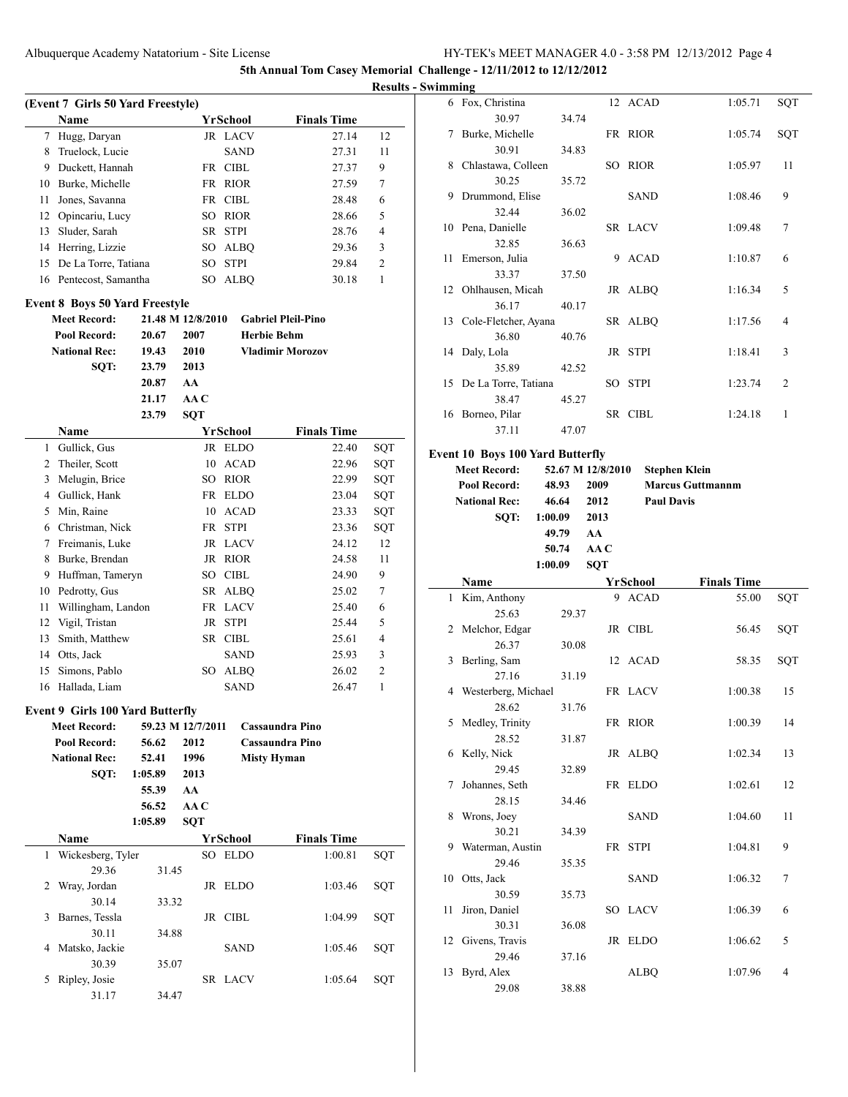**Results - Swimming**

|    | (Event 7 Girls 50 Yard Freestyle)     |         |                   |                 |                           |     |  |  |  |  |  |  |  |
|----|---------------------------------------|---------|-------------------|-----------------|---------------------------|-----|--|--|--|--|--|--|--|
|    | Name                                  |         |                   | YrSchool        | <b>Finals Time</b>        |     |  |  |  |  |  |  |  |
| 7  | Hugg, Daryan                          |         |                   | JR LACV         | 27.14                     | 12  |  |  |  |  |  |  |  |
| 8  | Truelock, Lucie                       |         |                   | SAND            | 27.31                     | 11  |  |  |  |  |  |  |  |
| 9  | Duckett, Hannah                       |         |                   | FR CIBL         | 27.37                     | 9   |  |  |  |  |  |  |  |
| 10 | Burke, Michelle                       |         |                   | FR RIOR         | 27.59                     | 7   |  |  |  |  |  |  |  |
| 11 | Jones, Savanna                        |         |                   | FR CIBL         | 28.48                     | 6   |  |  |  |  |  |  |  |
| 12 | Opincariu, Lucy                       |         | SO                | <b>RIOR</b>     | 28.66                     | 5   |  |  |  |  |  |  |  |
| 13 | Sluder, Sarah                         |         |                   | SR STPI         | 28.76                     | 4   |  |  |  |  |  |  |  |
| 14 | Herring, Lizzie                       |         |                   | SO ALBQ         | 29.36                     | 3   |  |  |  |  |  |  |  |
| 15 | De La Torre, Tatiana                  |         | SO -              | <b>STPI</b>     | 29.84                     | 2   |  |  |  |  |  |  |  |
|    | 16 Pentecost, Samantha                |         | SO                | <b>ALBQ</b>     | 30.18                     | 1   |  |  |  |  |  |  |  |
|    | <b>Event 8 Boys 50 Yard Freestyle</b> |         |                   |                 |                           |     |  |  |  |  |  |  |  |
|    | <b>Meet Record:</b>                   |         | 21.48 M 12/8/2010 |                 | <b>Gabriel Pleil-Pino</b> |     |  |  |  |  |  |  |  |
|    | Pool Record:                          | 20.67   | 2007              |                 | <b>Herbie Behm</b>        |     |  |  |  |  |  |  |  |
|    | <b>National Rec:</b>                  | 19.43   | 2010              |                 | <b>Vladimir Morozov</b>   |     |  |  |  |  |  |  |  |
|    | SQT:                                  | 23.79   | 2013              |                 |                           |     |  |  |  |  |  |  |  |
|    |                                       | 20.87   | AA                |                 |                           |     |  |  |  |  |  |  |  |
|    |                                       | 21.17   | AA C              |                 |                           |     |  |  |  |  |  |  |  |
|    |                                       | 23.79   | <b>SQT</b>        |                 |                           |     |  |  |  |  |  |  |  |
|    | Name                                  |         |                   | <b>YrSchool</b> | <b>Finals Time</b>        |     |  |  |  |  |  |  |  |
| 1  | Gullick, Gus                          |         |                   | JR ELDO         | 22.40                     | SQT |  |  |  |  |  |  |  |
| 2  | Theiler, Scott                        |         |                   | 10 ACAD         | 22.96                     | SQT |  |  |  |  |  |  |  |
| 3  | Melugin, Brice                        |         |                   | SO RIOR         | 22.99                     | SQT |  |  |  |  |  |  |  |
| 4  | Gullick, Hank                         |         |                   | FR ELDO         | 23.04                     | SQT |  |  |  |  |  |  |  |
| 5  | Min, Raine                            |         |                   | 10 ACAD         | 23.33                     | SQT |  |  |  |  |  |  |  |
| 6  | Christman, Nick                       |         | FR STPI           |                 | 23.36                     | SQT |  |  |  |  |  |  |  |
| 7  | Freimanis, Luke                       |         |                   | JR LACV         | 24.12                     | 12  |  |  |  |  |  |  |  |
| 8  | Burke, Brendan                        |         |                   | JR RIOR         | 24.58                     | 11  |  |  |  |  |  |  |  |
| 9  | Huffman, Tameryn                      |         |                   | SO CIBL         | 24.90                     | 9   |  |  |  |  |  |  |  |
| 10 | Pedrotty, Gus                         |         | SR                | ALBQ            | 25.02                     | 7   |  |  |  |  |  |  |  |
| 11 | Willingham, Landon                    |         | FR                | <b>LACV</b>     | 25.40                     | 6   |  |  |  |  |  |  |  |
| 12 | Vigil, Tristan                        |         | JR                | STPI            | 25.44                     | 5   |  |  |  |  |  |  |  |
| 13 | Smith, Matthew                        |         |                   | SR CIBL         | 25.61                     | 4   |  |  |  |  |  |  |  |
| 14 | Otts, Jack                            |         |                   | SAND            | 25.93                     | 3   |  |  |  |  |  |  |  |
| 15 | Simons, Pablo                         |         | SO -              | <b>ALBQ</b>     | 26.02                     | 2   |  |  |  |  |  |  |  |
|    | 16 Hallada, Liam                      |         |                   | SAND            | 26.47                     | 1   |  |  |  |  |  |  |  |
|    | Event 9 Girls 100 Yard Butterfly      |         |                   |                 |                           |     |  |  |  |  |  |  |  |
|    | <b>Meet Record:</b>                   |         | 59.23 M 12/7/2011 |                 | Cassaundra Pino           |     |  |  |  |  |  |  |  |
|    | Pool Record:                          | 56.62   | 2012              |                 | Cassaundra Pino           |     |  |  |  |  |  |  |  |
|    | <b>National Rec:</b>                  | 52.41   | 1996              |                 | <b>Misty Hyman</b>        |     |  |  |  |  |  |  |  |
|    | SQT:                                  | 1:05.89 | 2013              |                 |                           |     |  |  |  |  |  |  |  |
|    |                                       | 55.39   | AA                |                 |                           |     |  |  |  |  |  |  |  |
|    |                                       | 56.52   | AAC               |                 |                           |     |  |  |  |  |  |  |  |
|    |                                       | 1:05.89 | <b>SQT</b>        |                 |                           |     |  |  |  |  |  |  |  |
|    | Name                                  |         |                   | <b>YrSchool</b> | <b>Finals Time</b>        |     |  |  |  |  |  |  |  |
| 1  | Wickesberg, Tyler                     |         |                   | SO ELDO         | 1:00.81                   | SQT |  |  |  |  |  |  |  |
|    | 29.36                                 | 31.45   |                   |                 |                           |     |  |  |  |  |  |  |  |
| 2  | Wray, Jordan                          |         | JR                | <b>ELDO</b>     | 1:03.46                   | SQT |  |  |  |  |  |  |  |
|    | 30.14                                 | 33.32   |                   |                 |                           |     |  |  |  |  |  |  |  |
| 3  | Barnes, Tessla                        |         |                   | JR CIBL         | 1:04.99                   | SQT |  |  |  |  |  |  |  |
|    | 30.11                                 | 34.88   |                   |                 |                           |     |  |  |  |  |  |  |  |
| 4  | Matsko, Jackie                        |         |                   | <b>SAND</b>     | 1:05.46                   | SQT |  |  |  |  |  |  |  |
|    | 30.39<br>Ripley, Josie                | 35.07   |                   |                 |                           |     |  |  |  |  |  |  |  |
| 5  |                                       |         |                   | SR LACV         | 1:05.64                   | SQT |  |  |  |  |  |  |  |
|    | 31.17                                 | 34.47   |                   |                 |                           |     |  |  |  |  |  |  |  |

|   | աստահ                                   |                   |                      |         |                |
|---|-----------------------------------------|-------------------|----------------------|---------|----------------|
|   | 6 Fox, Christina                        |                   | 12 ACAD              | 1:05.71 | SQT            |
|   | 30.97                                   | 34.74             |                      |         |                |
|   | Burke, Michelle<br>7                    |                   | FR RIOR              | 1:05.74 | SQT            |
|   | 30.91                                   | 34.83             |                      |         |                |
|   | 8 Chlastawa, Colleen                    |                   | SO RIOR              | 1:05.97 | 11             |
|   | 30.25                                   | 35.72             |                      |         |                |
| 9 | Drummond, Elise                         |                   | <b>SAND</b>          | 1:08.46 | 9              |
|   | 32.44                                   | 36.02             |                      |         |                |
|   | 10 Pena, Danielle                       |                   | SR LACV              | 1:09.48 | 7              |
|   | 32.85                                   | 36.63             |                      |         |                |
|   | Emerson, Julia<br>11 -                  |                   | 9 ACAD               | 1:10.87 | 6              |
|   | 33.37                                   | 37.50             |                      |         |                |
|   | 12 Ohlhausen, Micah                     |                   | JR ALBO              | 1:16.34 | 5              |
|   | 36.17                                   | 40.17             |                      |         |                |
|   | 13 Cole-Fletcher, Ayana                 |                   | SR ALBO              | 1:17.56 | $\overline{4}$ |
|   | 36.80                                   | 40.76             |                      |         |                |
|   | 14 Daly, Lola                           |                   | JR STPI              | 1:18.41 | 3              |
|   | 35.89                                   | 42.52             |                      |         |                |
|   | 15 De La Torre, Tatiana                 |                   | SO STPI              | 1:23.74 | $\overline{2}$ |
|   | 38.47                                   | 45.27             |                      |         |                |
|   | 16 Borneo, Pilar                        |                   | SR CIBL              | 1:24.18 | 1              |
|   | 37.11                                   | 47.07             |                      |         |                |
|   | <b>Event 10 Boys 100 Yard Butterfly</b> |                   |                      |         |                |
|   | <b>Meet Record:</b>                     | 52.67 M 12/8/2010 | <b>Stephen Klein</b> |         |                |
|   |                                         |                   |                      |         |                |

| Meet Record:         |         | 52.6/ M 12/8/2010 | Stephen Klein           |
|----------------------|---------|-------------------|-------------------------|
| Pool Record:         | 48.93   | 2009              | <b>Marcus Guttmannm</b> |
| <b>National Rec:</b> | 46.64   | 2012              | <b>Paul Davis</b>       |
| SOT:                 | 1:00.09 | 2013              |                         |
|                      | 49.79   | AA                |                         |
|                      | 50.74   | AA C              |                         |
|                      | 1:00.09 | SOT               |                         |
|                      |         |                   |                         |

|    | Name                  |       | <b>YrSchool</b> | <b>Finals Time</b> |                |
|----|-----------------------|-------|-----------------|--------------------|----------------|
| 1  | Kim, Anthony          |       | 9 ACAD          | 55.00              | SQT            |
|    | 25.63                 | 29.37 |                 |                    |                |
|    | 2 Melchor, Edgar      |       | JR CIBL         | 56.45              | SQT            |
|    | 26.37                 | 30.08 |                 |                    |                |
|    | 3 Berling, Sam        |       | 12 ACAD         | 58.35              | SQT            |
|    | 27.16                 | 31.19 |                 |                    |                |
|    | 4 Westerberg, Michael |       | FR LACV         | 1:00.38            | 15             |
|    | 28.62                 | 31.76 |                 |                    |                |
| 5. | Medley, Trinity       |       | FR RIOR         | 1:00.39            | 14             |
|    | 28.52                 | 31.87 |                 |                    |                |
|    | 6 Kelly, Nick         |       | JR ALBO         | 1:02.34            | 13             |
|    | 29.45                 | 32.89 |                 |                    |                |
| 7  | Johannes, Seth        |       | FR ELDO         | 1:02.61            | 12             |
|    | 28.15                 | 34.46 |                 |                    |                |
| 8  | Wrons, Joey           |       | <b>SAND</b>     | 1:04.60            | 11             |
|    | 30.21                 | 34.39 |                 |                    |                |
| 9  | Waterman, Austin      |       | FR STPI         | 1:04.81            | 9              |
|    | 29.46                 | 35.35 |                 |                    |                |
|    | 10 Otts, Jack         |       | <b>SAND</b>     | 1:06.32            | 7              |
|    | 30.59                 | 35.73 |                 |                    |                |
| 11 | Jiron, Daniel         |       | SO LACV         | 1:06.39            | 6              |
|    | 30.31                 | 36.08 |                 |                    |                |
| 12 | Givens, Travis        |       | JR ELDO         | 1:06.62            | 5              |
|    | 29.46                 | 37.16 |                 |                    |                |
| 13 | Byrd, Alex            |       | ALBO            | 1:07.96            | $\overline{4}$ |
|    | 29.08                 | 38.88 |                 |                    |                |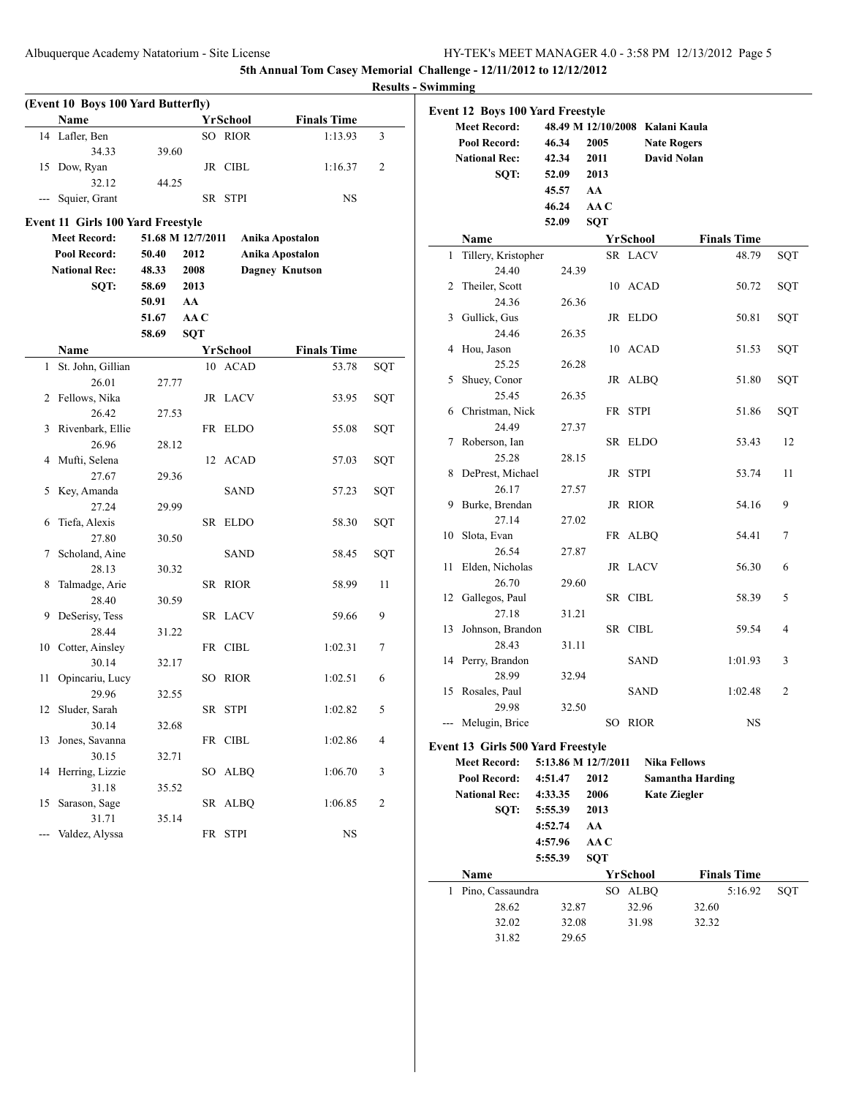|               | (Event 10 Boys 100 Yard Butterfly)       |                   |            |                       |                        |     |  |  |
|---------------|------------------------------------------|-------------------|------------|-----------------------|------------------------|-----|--|--|
|               | Name                                     |                   |            | <b>YrSchool</b>       | <b>Finals Time</b>     |     |  |  |
| 14            | Lafler, Ben                              |                   |            | SO RIOR               | 1:13.93                | 3   |  |  |
|               | 34.33                                    | 39.60             |            |                       |                        |     |  |  |
| 15            | Dow, Ryan                                |                   |            | JR CIBL               | 1:16.37                | 2   |  |  |
|               | 32.12                                    | 44.25             |            |                       |                        |     |  |  |
|               | Squier, Grant                            |                   |            | SR STPI               | NS                     |     |  |  |
|               | <b>Event 11 Girls 100 Yard Freestyle</b> |                   |            |                       |                        |     |  |  |
|               | <b>Meet Record:</b>                      | 51.68 M 12/7/2011 |            | Anika Apostalon       |                        |     |  |  |
|               | Pool Record:                             | 50.40             | 2012       |                       | <b>Anika Apostalon</b> |     |  |  |
|               | <b>National Rec:</b>                     | 48.33             | 2008       | <b>Dagney Knutson</b> |                        |     |  |  |
|               | SQT:                                     | 58.69             | 2013       |                       |                        |     |  |  |
|               |                                          | 50.91             | AA         |                       |                        |     |  |  |
|               |                                          | 51.67             | AA C       |                       |                        |     |  |  |
|               |                                          | 58.69             | <b>SQT</b> |                       |                        |     |  |  |
|               | Name                                     |                   |            | <b>YrSchool</b>       | <b>Finals Time</b>     |     |  |  |
| 1             | St. John, Gillian                        |                   |            | 10 ACAD               | 53.78                  | SQT |  |  |
|               | 26.01                                    | 27.77             |            |                       |                        |     |  |  |
| 2             | Fellows, Nika                            |                   |            | JR LACV               | 53.95                  | SQT |  |  |
|               | 26.42                                    | 27.53             |            |                       |                        |     |  |  |
| 3             | Rivenbark, Ellie                         |                   |            | FR ELDO               | 55.08                  | SQT |  |  |
|               | 26.96                                    | 28.12             |            |                       |                        |     |  |  |
| 4             | Mufti, Selena                            |                   | 12         | <b>ACAD</b>           | 57.03                  | SQT |  |  |
|               | 27.67                                    | 29.36             |            |                       |                        |     |  |  |
| 5             | Key, Amanda                              |                   |            | <b>SAND</b>           | 57.23                  | SQT |  |  |
|               | 27.24                                    | 29.99             |            |                       |                        |     |  |  |
| 6             | Tiefa, Alexis                            |                   | SR         | <b>ELDO</b>           | 58.30                  | SQT |  |  |
|               | 27.80                                    | 30.50             |            |                       |                        |     |  |  |
| 7             | Scholand, Aine                           |                   |            | SAND                  | 58.45                  | SQT |  |  |
|               | 28.13                                    | 30.32             |            |                       |                        |     |  |  |
| 8             | Talmadge, Arie                           |                   |            | SR RIOR               | 58.99                  | 11  |  |  |
|               | 28.40                                    | 30.59             |            |                       |                        |     |  |  |
| 9             | DeSerisy, Tess                           |                   |            | SR LACV               | 59.66                  | 9   |  |  |
|               | 28.44                                    | 31.22             |            |                       |                        |     |  |  |
| 10            | Cotter, Ainsley                          |                   |            | FR CIBL               | 1:02.31                | 7   |  |  |
|               | 30.14                                    | 32.17             |            |                       |                        |     |  |  |
| 11            | Opincariu, Lucy                          |                   | SO         | <b>RIOR</b>           | 1:02.51                | 6   |  |  |
|               | 29.96                                    | 32.55             |            |                       |                        |     |  |  |
| 12            | Sluder, Sarah                            |                   |            | SR STPI               | 1:02.82                | 5   |  |  |
|               | 30.14                                    | 32.68             |            |                       |                        |     |  |  |
| 13            | Jones, Savanna                           |                   |            | FR CIBL               | 1:02.86                | 4   |  |  |
|               | 30.15                                    | 32.71             |            |                       |                        |     |  |  |
| 14            | Herring, Lizzie<br>31.18                 |                   | SO         | <b>ALBQ</b>           | 1:06.70                | 3   |  |  |
| 15            | Sarason, Sage                            | 35.52             | SR         | <b>ALBQ</b>           | 1:06.85                | 2   |  |  |
|               | 31.71                                    | 35.14             |            |                       |                        |     |  |  |
| $\frac{1}{2}$ | Valdez, Alyssa                           |                   |            | FR STPI               | <b>NS</b>              |     |  |  |
|               |                                          |                   |            |                       |                        |     |  |  |

|    | <b>Event 12 Boys 100 Yard Freestyle</b> |                     |            |                                 |                         |     |  |  |  |
|----|-----------------------------------------|---------------------|------------|---------------------------------|-------------------------|-----|--|--|--|
|    | <b>Meet Record:</b>                     |                     |            | 48.49 M 12/10/2008 Kalani Kaula |                         |     |  |  |  |
|    | Pool Record:                            | 46.34               | 2005       |                                 | <b>Nate Rogers</b>      |     |  |  |  |
|    | <b>National Rec:</b>                    | 42.34               | 2011       |                                 | <b>David Nolan</b>      |     |  |  |  |
|    |                                         |                     |            |                                 |                         |     |  |  |  |
|    | SQT:                                    | 52.09               | 2013       |                                 |                         |     |  |  |  |
|    |                                         | 45.57               | AA         |                                 |                         |     |  |  |  |
|    |                                         | 46.24               | AA C       |                                 |                         |     |  |  |  |
|    |                                         | 52.09               | <b>SQT</b> |                                 |                         |     |  |  |  |
|    | Name                                    |                     |            | YrSchool                        | <b>Finals Time</b>      |     |  |  |  |
| 1  | Tillery, Kristopher                     |                     |            | SR LACV                         | 48.79                   | SQT |  |  |  |
|    | 24.40                                   | 24.39               |            |                                 |                         |     |  |  |  |
| 2  | Theiler, Scott                          |                     |            | 10 ACAD                         | 50.72                   | SQT |  |  |  |
|    | 24.36                                   | 26.36               |            |                                 |                         |     |  |  |  |
| 3  | Gullick, Gus                            |                     |            | JR ELDO                         | 50.81                   | SQT |  |  |  |
|    | 24.46                                   | 26.35               |            |                                 |                         |     |  |  |  |
| 4  | Hou, Jason                              |                     | 10         | ACAD                            | 51.53                   | SQT |  |  |  |
|    | 25.25                                   | 26.28               |            |                                 |                         |     |  |  |  |
| 5  | Shuey, Conor                            |                     |            | JR ALBQ                         | 51.80                   | SQT |  |  |  |
|    | 25.45                                   | 26.35               |            |                                 |                         |     |  |  |  |
| 6  | Christman, Nick                         |                     |            | FR STPI                         | 51.86                   | SQT |  |  |  |
|    | 24.49                                   | 27.37               |            |                                 |                         |     |  |  |  |
| 7  | Roberson, Ian                           |                     |            | SR ELDO                         | 53.43                   | 12  |  |  |  |
|    | 25.28                                   | 28.15               |            |                                 |                         |     |  |  |  |
| 8  | DePrest, Michael                        |                     |            | JR STPI                         | 53.74                   | 11  |  |  |  |
|    | 26.17                                   | 27.57               |            |                                 |                         |     |  |  |  |
| 9  | Burke, Brendan                          |                     |            | JR RIOR                         | 54.16                   | 9   |  |  |  |
|    | 27.14                                   | 27.02               |            |                                 |                         |     |  |  |  |
| 10 | Slota, Evan                             |                     |            | FR ALBQ                         | 54.41                   | 7   |  |  |  |
|    | 26.54                                   | 27.87               |            |                                 |                         |     |  |  |  |
| 11 | Elden, Nicholas                         |                     |            | JR LACV                         | 56.30                   | 6   |  |  |  |
|    | 26.70                                   | 29.60               |            |                                 |                         |     |  |  |  |
| 12 | Gallegos, Paul                          |                     |            | SR CIBL                         | 58.39                   | 5   |  |  |  |
|    | 27.18                                   | 31.21               |            |                                 |                         |     |  |  |  |
| 13 | Johnson, Brandon                        |                     |            | SR CIBL                         | 59.54                   | 4   |  |  |  |
|    | 28.43                                   | 31.11               |            |                                 |                         |     |  |  |  |
| 14 | Perry, Brandon                          |                     |            | <b>SAND</b>                     | 1:01.93                 | 3   |  |  |  |
|    | 28.99                                   | 32.94               |            |                                 |                         |     |  |  |  |
| 15 | Rosales, Paul                           |                     |            | SAND                            | 1:02.48                 | 2   |  |  |  |
|    | 29.98                                   | 32.50               |            |                                 |                         |     |  |  |  |
|    | --- Melugin, Brice                      |                     |            | SO RIOR                         | NS                      |     |  |  |  |
|    |                                         |                     |            |                                 |                         |     |  |  |  |
|    | Event 13 Girls 500 Yard Freestyle       |                     |            |                                 |                         |     |  |  |  |
|    | <b>Meet Record:</b>                     | 5:13.86 M 12/7/2011 |            |                                 | <b>Nika Fellows</b>     |     |  |  |  |
|    | Pool Record:                            | 4:51.47             | 2012       |                                 | <b>Samantha Harding</b> |     |  |  |  |
|    | <b>National Rec:</b>                    | 4:33.35             | 2006       |                                 | <b>Kate Ziegler</b>     |     |  |  |  |
|    | SQT:                                    | 5:55.39             | 2013       |                                 |                         |     |  |  |  |
|    |                                         | 4:52.74             | AA         |                                 |                         |     |  |  |  |
|    |                                         | 4:57.96             | AA C       |                                 |                         |     |  |  |  |
|    |                                         | 5:55.39             | SOT        |                                 |                         |     |  |  |  |
|    | Name                                    |                     |            | <b>YrSchool</b>                 | <b>Finals Time</b>      |     |  |  |  |
| 1  | Pino, Cassaundra                        |                     |            | SO ALBQ                         | 5:16.92                 | SQT |  |  |  |
|    | 28.62                                   | 32.87               |            | 32.96                           | 32.60                   |     |  |  |  |
|    | 32.02                                   | 32.08               |            | 31.98                           | 32.32                   |     |  |  |  |
|    | 31.82                                   | 29.65               |            |                                 |                         |     |  |  |  |
|    |                                         |                     |            |                                 |                         |     |  |  |  |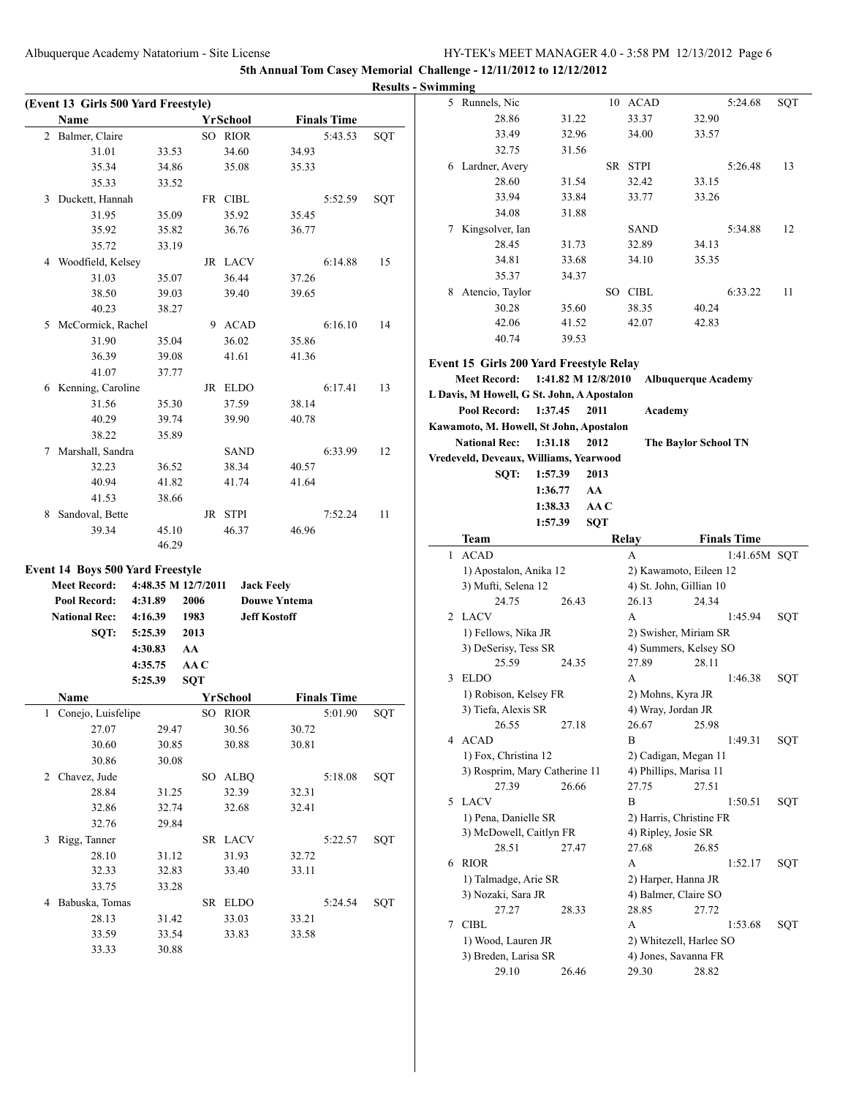|                                         |                     |            |                 |                     |                    |     | <b>Results - Swimming</b> |                                            |         |      |             |                            |                    |            |
|-----------------------------------------|---------------------|------------|-----------------|---------------------|--------------------|-----|---------------------------|--------------------------------------------|---------|------|-------------|----------------------------|--------------------|------------|
| (Event 13 Girls 500 Yard Freestyle)     |                     |            |                 |                     |                    |     |                           | 5 Runnels, Nic                             |         |      | 10 ACAD     |                            | 5:24.68            | SQT        |
| Name                                    |                     |            | <b>YrSchool</b> |                     | <b>Finals Time</b> |     |                           | 28.86                                      | 31.22   |      | 33.37       | 32.90                      |                    |            |
| 2 Balmer, Claire                        |                     |            | SO RIOR         |                     | 5:43.53            | SQT |                           | 33.49                                      | 32.96   |      | 34.00       | 33.57                      |                    |            |
| 31.01                                   | 33.53               |            | 34.60           | 34.93               |                    |     |                           | 32.75                                      | 31.56   |      |             |                            |                    |            |
| 35.34                                   | 34.86               |            | 35.08           | 35.33               |                    |     |                           | 6 Lardner, Avery                           |         |      | SR STPI     |                            | 5:26.48            | 13         |
| 35.33                                   | 33.52               |            |                 |                     |                    |     |                           | 28.60                                      | 31.54   |      | 32.42       | 33.15                      |                    |            |
| 3 Duckett, Hannah                       |                     |            | FR CIBL         |                     | 5:52.59            | SQT |                           | 33.94                                      | 33.84   |      | 33.77       | 33.26                      |                    |            |
| 31.95                                   | 35.09               |            | 35.92           | 35.45               |                    |     |                           | 34.08                                      | 31.88   |      |             |                            |                    |            |
| 35.92                                   | 35.82               |            | 36.76           | 36.77               |                    |     |                           | 7 Kingsolver, Ian                          |         |      | <b>SAND</b> |                            | 5:34.88            | 12         |
| 35.72                                   | 33.19               |            |                 |                     |                    |     |                           | 28.45                                      | 31.73   |      | 32.89       | 34.13                      |                    |            |
| 4 Woodfield, Kelsey                     |                     |            | JR LACV         |                     | 6:14.88            | 15  |                           | 34.81                                      | 33.68   |      | 34.10       | 35.35                      |                    |            |
| 31.03                                   | 35.07               |            | 36.44           | 37.26               |                    |     |                           | 35.37                                      | 34.37   |      |             |                            |                    |            |
| 38.50                                   | 39.03               |            | 39.40           | 39.65               |                    |     |                           | 8 Atencio, Taylor                          |         |      | SO CIBL     |                            | 6:33.22            | 11         |
| 40.23                                   | 38.27               |            |                 |                     |                    |     |                           | 30.28                                      | 35.60   |      | 38.35       | 40.24                      |                    |            |
| 5 McCormick, Rachel                     |                     |            | 9 ACAD          |                     | 6:16.10            | 14  |                           | 42.06                                      | 41.52   |      | 42.07       | 42.83                      |                    |            |
| 31.90                                   | 35.04               |            | 36.02           | 35.86               |                    |     |                           | 40.74                                      | 39.53   |      |             |                            |                    |            |
| 36.39                                   | 39.08               |            | 41.61           | 41.36               |                    |     |                           |                                            |         |      |             |                            |                    |            |
| 41.07                                   | 37.77               |            |                 |                     |                    |     |                           | Event 15 Girls 200 Yard Freestyle Relay    |         |      |             |                            |                    |            |
|                                         |                     |            |                 |                     |                    |     |                           | Meet Record: 1:41.82 M 12/8/2010           |         |      |             | <b>Albuquerque Academy</b> |                    |            |
| 6 Kenning, Caroline                     |                     |            | JR ELDO         |                     | 6:17.41            | 13  |                           | L Davis, M Howell, G St. John, A Apostalon |         |      |             |                            |                    |            |
| 31.56                                   | 35.30               |            | 37.59           | 38.14               |                    |     |                           | Pool Record: 1:37.45                       |         | 2011 | Academy     |                            |                    |            |
| 40.29                                   | 39.74               |            | 39.90           | 40.78               |                    |     |                           | Kawamoto, M. Howell, St John, Apostalon    |         |      |             |                            |                    |            |
| 38.22                                   | 35.89               |            |                 |                     |                    |     |                           | National Rec: 1:31.18                      |         | 2012 |             | The Baylor School TN       |                    |            |
| 7 Marshall, Sandra                      |                     |            | <b>SAND</b>     |                     | 6:33.99            | 12  |                           | Vredeveld, Deveaux, Williams, Yearwood     |         |      |             |                            |                    |            |
| 32.23                                   | 36.52               |            | 38.34           | 40.57               |                    |     |                           | SQT:                                       | 1:57.39 | 2013 |             |                            |                    |            |
| 40.94                                   | 41.82               |            | 41.74           | 41.64               |                    |     |                           |                                            | 1:36.77 | AA   |             |                            |                    |            |
| 41.53                                   | 38.66               |            |                 |                     |                    |     |                           |                                            | 1:38.33 | AAC  |             |                            |                    |            |
| 8 Sandoval, Bette                       |                     |            | JR STPI         |                     | 7:52.24            | 11  |                           |                                            | 1:57.39 | SQT  |             |                            |                    |            |
| 39.34                                   | 45.10               |            | 46.37           | 46.96               |                    |     |                           | <b>Team</b>                                |         |      | Relay       |                            | <b>Finals Time</b> |            |
|                                         | 46.29               |            |                 |                     |                    |     |                           | 1 ACAD                                     |         |      | A           |                            | 1:41.65M SQT       |            |
| <b>Event 14 Boys 500 Yard Freestyle</b> |                     |            |                 |                     |                    |     |                           | 1) Apostalon, Anika 12                     |         |      |             | 2) Kawamoto, Eileen 12     |                    |            |
| <b>Meet Record:</b>                     | 4:48.35 M 12/7/2011 |            |                 | <b>Jack Feely</b>   |                    |     |                           | 3) Mufti, Selena 12                        |         |      |             | 4) St. John, Gillian 10    |                    |            |
| Pool Record:                            | 4:31.89             | 2006       |                 | <b>Douwe Yntema</b> |                    |     |                           | 24.75                                      | 26.43   |      | 26.13       | 24.34                      |                    |            |
| <b>National Rec:</b>                    | 4:16.39             | 1983       |                 | <b>Jeff Kostoff</b> |                    |     |                           | 2 LACV                                     |         |      | A           |                            | 1:45.94            | <b>SQT</b> |
| SQT:                                    | 5:25.39             | 2013       |                 |                     |                    |     |                           | 1) Fellows, Nika JR                        |         |      |             | 2) Swisher, Miriam SR      |                    |            |
|                                         | 4:30.83             | AA         |                 |                     |                    |     |                           | 3) DeSerisy, Tess SR                       |         |      |             | 4) Summers, Kelsey SO      |                    |            |
|                                         | 4:35.75             | AA C       |                 |                     |                    |     |                           | 25.59                                      | 24.35   |      | 27.89       | 28.11                      |                    |            |
|                                         | 5:25.39             | <b>SQT</b> |                 |                     |                    |     |                           | 3 ELDO                                     |         |      | A           |                            | 1:46.38            | SQT        |
| Name                                    |                     |            | <b>YrSchool</b> |                     | <b>Finals Time</b> |     |                           | 1) Robison, Kelsey FR                      |         |      |             | 2) Mohns, Kyra JR          |                    |            |
|                                         |                     |            |                 |                     | 5:01.90            |     |                           | 3) Tiefa, Alexis SR                        |         |      |             | 4) Wray, Jordan JR         |                    |            |
| 1 Conejo, Luisfelipe                    |                     |            | SO RIOR         |                     |                    | SQT |                           | 26.55                                      | 27.18   |      | 26.67       | 25.98                      |                    |            |
| 27.07<br>30.60                          | 29.47               |            | 30.56           | 30.72               |                    |     |                           | 4 ACAD                                     |         |      | B           |                            | 1:49.31            | SQT        |
|                                         | 30.85               |            | 30.88           | 30.81               |                    |     |                           | 1) Fox, Christina 12                       |         |      |             | 2) Cadigan, Megan 11       |                    |            |
| 30.86                                   | 30.08               |            |                 |                     |                    |     |                           | 3) Rosprim, Mary Catherine 11              |         |      |             | 4) Phillips, Marisa 11     |                    |            |
| 2 Chavez, Jude                          |                     |            | SO ALBQ         |                     | 5:18.08            | SQT |                           | 27.39                                      | 26.66   |      | 27.75       | 27.51                      |                    |            |
| 28.84                                   | 31.25               |            | 32.39           | 32.31               |                    |     |                           | 5 LACV                                     |         |      | B           |                            | 1:50.51            | SQT        |
| 32.86                                   | 32.74               |            | 32.68           | 32.41               |                    |     |                           | 1) Pena, Danielle SR                       |         |      |             | 2) Harris, Christine FR    |                    |            |
| 32.76                                   | 29.84               |            |                 |                     |                    |     |                           | 3) McDowell, Caitlyn FR                    |         |      |             | 4) Ripley, Josie SR        |                    |            |
| 3 Rigg, Tanner                          |                     |            | SR LACV         |                     | 5:22.57            | SQT |                           | 28.51                                      | 27.47   |      | 27.68       | 26.85                      |                    |            |
| 28.10                                   | 31.12               |            | 31.93           | 32.72               |                    |     |                           | 6 RIOR                                     |         |      | A           |                            | 1:52.17            | SQT        |
| 32.33                                   | 32.83               |            | 33.40           | 33.11               |                    |     |                           | 1) Talmadge, Arie SR                       |         |      |             | 2) Harper, Hanna JR        |                    |            |
| 33.75                                   | 33.28               |            |                 |                     |                    |     |                           | 3) Nozaki, Sara JR                         |         |      |             | 4) Balmer, Claire SO       |                    |            |
| 4 Babuska, Tomas                        |                     |            | SR ELDO         |                     | 5:24.54            | SQT |                           | 27.27                                      | 28.33   |      | 28.85       | 27.72                      |                    |            |
| 28.13                                   | 31.42               |            | 33.03           | 33.21               |                    |     |                           | 7 CIBL                                     |         |      | A           |                            | 1:53.68            | SQT        |
| 33.59                                   | 33.54               |            | 33.83           | 33.58               |                    |     |                           | 1) Wood, Lauren JR                         |         |      |             | 2) Whitezell, Harlee SO    |                    |            |
| 33.33                                   | 30.88               |            |                 |                     |                    |     |                           | 3) Breden, Larisa SR                       |         |      |             | 4) Jones, Savanna FR       |                    |            |
|                                         |                     |            |                 |                     |                    |     |                           | 29.10                                      | 26.46   |      | 29.30       | 28.82                      |                    |            |
|                                         |                     |            |                 |                     |                    |     |                           |                                            |         |      |             |                            |                    |            |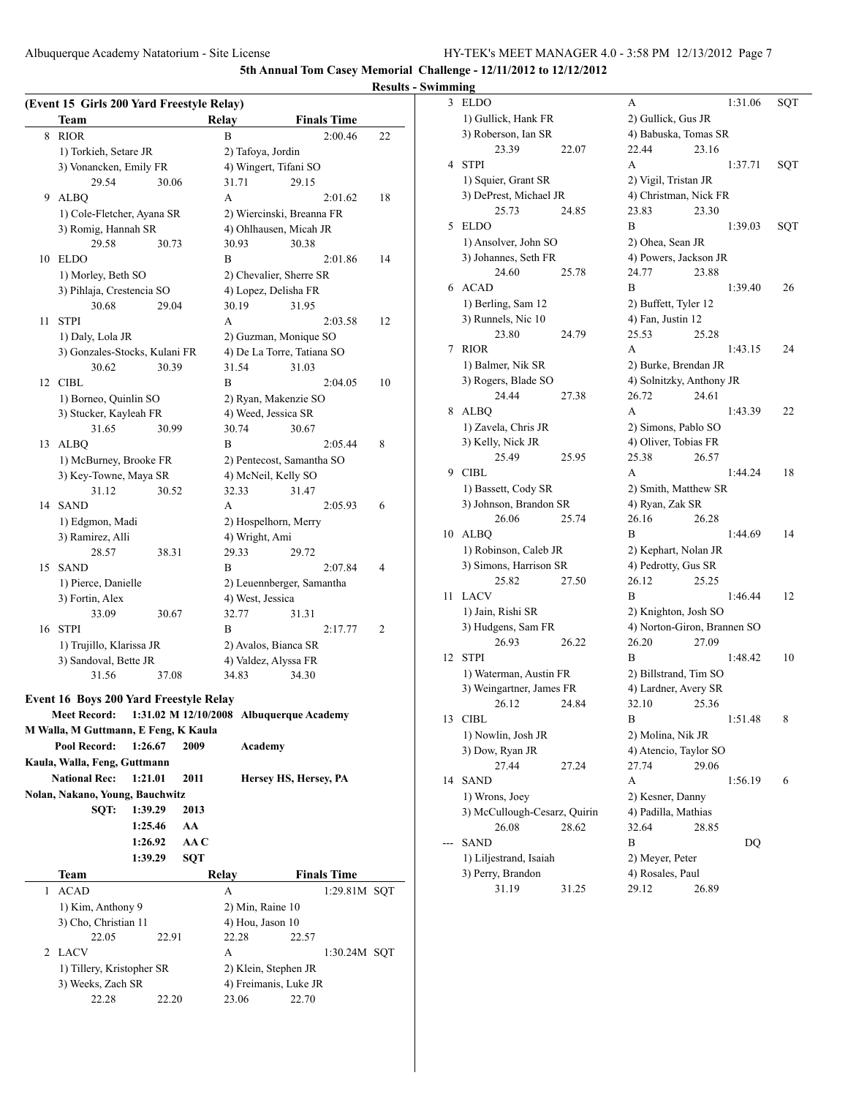Albuquerque Academy Natatorium - Site License HY-TEK's MEET MANAGER 4.0 - 3:58 PM 12/13/2012 Page 7

**5th Annual Tom Casey Memorial Challenge - 12/11/2012 to 12/12/2012**

|    |                                                   |         |            |                   |                                                     |                    | <b>Results</b> |
|----|---------------------------------------------------|---------|------------|-------------------|-----------------------------------------------------|--------------------|----------------|
|    | (Event 15 Girls 200 Yard Freestyle Relay)         |         |            |                   |                                                     |                    |                |
|    | Team                                              |         |            | Relay             |                                                     | <b>Finals Time</b> |                |
| 8  | <b>RIOR</b>                                       |         |            | B                 |                                                     | 2:00.46            | 22             |
|    | 1) Torkieh, Setare JR                             |         |            | 2) Tafoya, Jordin |                                                     |                    |                |
|    | 3) Vonancken, Emily FR                            |         |            |                   | 4) Wingert, Tifani SO                               |                    |                |
|    | 29.54                                             | 30.06   |            | 31.71             | 29.15                                               |                    |                |
| 9  | <b>ALBQ</b>                                       |         |            | A                 |                                                     | 2:01.62            | 18             |
|    | 1) Cole-Fletcher, Ayana SR                        |         |            |                   | 2) Wiercinski, Breanna FR                           |                    |                |
|    | 3) Romig, Hannah SR                               |         |            |                   | 4) Ohlhausen, Micah JR                              |                    |                |
|    | 29.58                                             | 30.73   |            | 30.93             | 30.38                                               |                    |                |
| 10 | <b>ELDO</b>                                       |         |            | B                 |                                                     | 2:01.86            | 14             |
|    | 1) Morley, Beth SO                                |         |            |                   | 2) Chevalier, Sherre SR                             |                    |                |
|    | 3) Pihlaja, Crestencia SO                         | 29.04   |            | 30.19             | 4) Lopez, Delisha FR                                |                    |                |
| 11 | 30.68<br><b>STPI</b>                              |         |            | A                 | 31.95                                               | 2:03.58            | 12             |
|    |                                                   |         |            |                   |                                                     |                    |                |
|    | 1) Daly, Lola JR<br>3) Gonzales-Stocks, Kulani FR |         |            |                   | 2) Guzman, Monique SO<br>4) De La Torre, Tatiana SO |                    |                |
|    | 30.62                                             | 30.39   |            | 31.54             | 31.03                                               |                    |                |
| 12 | <b>CIBL</b>                                       |         |            | B                 |                                                     | 2:04.05            | 10             |
|    | 1) Borneo, Quinlin SO                             |         |            |                   | 2) Ryan, Makenzie SO                                |                    |                |
|    | 3) Stucker, Kayleah FR                            |         |            |                   | 4) Weed, Jessica SR                                 |                    |                |
|    | 31.65                                             | 30.99   |            | 30.74             | 30.67                                               |                    |                |
| 13 | <b>ALBQ</b>                                       |         |            | B                 |                                                     | 2:05.44            | 8              |
|    | 1) McBurney, Brooke FR                            |         |            |                   | 2) Pentecost, Samantha SO                           |                    |                |
|    | 3) Key-Towne, Maya SR                             |         |            |                   | 4) McNeil, Kelly SO                                 |                    |                |
|    | 31.12                                             | 30.52   |            | 32.33             | 31.47                                               |                    |                |
| 14 | <b>SAND</b>                                       |         |            | A                 |                                                     | 2:05.93            | 6              |
|    | 1) Edgmon, Madi                                   |         |            |                   | 2) Hospelhorn, Merry                                |                    |                |
|    | 3) Ramirez, Alli                                  |         |            | 4) Wright, Ami    |                                                     |                    |                |
|    | 28.57                                             | 38.31   |            | 29.33             | 29.72                                               |                    |                |
| 15 | <b>SAND</b>                                       |         |            | B                 |                                                     | 2:07.84            | 4              |
|    | 1) Pierce, Danielle                               |         |            |                   | 2) Leuennberger, Samantha                           |                    |                |
|    | 3) Fortin, Alex                                   |         |            | 4) West, Jessica  |                                                     |                    |                |
|    | 33.09                                             | 30.67   |            | 32.77             | 31.31                                               |                    |                |
| 16 | <b>STPI</b>                                       |         |            | B                 |                                                     | 2:17.77            | 2              |
|    | 1) Trujillo, Klarissa JR                          |         |            |                   | 2) Avalos, Bianca SR                                |                    |                |
|    | 3) Sandoval, Bette JR                             |         |            |                   | 4) Valdez, Alyssa FR                                |                    |                |
|    | 31.56                                             | 37.08   |            | 34.83             | 34.30                                               |                    |                |
|    | <b>Event 16 Boys 200 Yard Freestyle Relay</b>     |         |            |                   |                                                     |                    |                |
|    | <b>Meet Record:</b>                               |         |            |                   | 1:31.02 M 12/10/2008 Albuquerque Academy            |                    |                |
|    | M Walla, M Guttmann, E Feng, K Kaula              |         |            |                   |                                                     |                    |                |
|    | Pool Record:                                      | 1:26.67 | 2009       | Academy           |                                                     |                    |                |
|    | Kaula, Walla, Feng, Guttmann                      |         |            |                   |                                                     |                    |                |
|    | <b>National Rec:</b>                              | 1:21.01 | 2011       |                   | Hersey HS, Hersey, PA                               |                    |                |
|    | Nolan, Nakano, Young, Bauchwitz                   |         |            |                   |                                                     |                    |                |
|    | SQT:                                              | 1:39.29 | 2013       |                   |                                                     |                    |                |
|    |                                                   | 1:25.46 | AA         |                   |                                                     |                    |                |
|    |                                                   | 1:26.92 | AA C       |                   |                                                     |                    |                |
|    |                                                   | 1:39.29 | <b>SQT</b> |                   |                                                     |                    |                |
|    | <b>Team</b>                                       |         |            | Relay             |                                                     | <b>Finals Time</b> |                |
| 1  | ACAD                                              |         |            | A                 |                                                     | 1:29.81M SQT       |                |
|    | 1) Kim, Anthony 9                                 |         |            | 2) Min, Raine 10  |                                                     |                    |                |
|    | 3) Cho, Christian 11                              |         |            | 4) Hou, Jason 10  |                                                     |                    |                |
|    | 22.05                                             | 22.91   |            | 22.28             | 22.57                                               |                    |                |
|    | 2 LACV                                            |         |            | A                 |                                                     | 1:30.24M SQT       |                |
|    | 1) Tillery, Kristopher SR                         |         |            |                   | 2) Klein, Stephen JR                                |                    |                |
|    | 3) Weeks, Zach SR                                 |         |            |                   | 4) Freimanis, Luke JR                               |                    |                |
|    | 22.28                                             | 22.20   |            | 23.06             | 22.70                                               |                    |                |

| 3  | <b>ELDO</b>                  |       | А                                 |       | 1:31.06 | SQT |
|----|------------------------------|-------|-----------------------------------|-------|---------|-----|
|    | 1) Gullick, Hank FR          |       | 2) Gullick, Gus JR                |       |         |     |
|    | 3) Roberson, Ian SR          |       | 4) Babuska, Tomas SR              |       |         |     |
|    | 23.39                        | 22.07 | 22.44                             | 23.16 |         |     |
| 4  | <b>STPI</b>                  |       | А                                 |       | 1:37.71 | SQT |
|    | 1) Squier, Grant SR          |       | 2) Vigil, Tristan JR              |       |         |     |
|    | 3) DePrest, Michael JR       |       | 4) Christman, Nick FR             |       |         |     |
|    | 25.73                        | 24.85 | 23.83                             | 23.30 |         |     |
| 5  | <b>ELDO</b>                  |       | В                                 |       | 1:39.03 | SQT |
|    | 1) Ansolver, John SO         |       | 2) Ohea, Sean JR                  |       |         |     |
|    | 3) Johannes, Seth FR         |       | 4) Powers, Jackson JR             |       |         |     |
|    | 24.60                        | 25.78 | 24.77                             | 23.88 |         |     |
| 6  | <b>ACAD</b>                  |       | B                                 |       | 1:39.40 | 26  |
|    | 1) Berling, Sam 12           |       | 2) Buffett, Tyler 12              |       |         |     |
|    | 3) Runnels, Nic 10           |       | 4) Fan, Justin 12                 |       |         |     |
|    | 23.80                        | 24.79 | 25.53                             | 25.28 |         |     |
| 7  | <b>RIOR</b>                  |       | А                                 |       | 1:43.15 | 24  |
|    | 1) Balmer, Nik SR            |       | 2) Burke, Brendan JR              |       |         |     |
|    |                              |       |                                   |       |         |     |
|    | 3) Rogers, Blade SO<br>24.44 |       | 4) Solnitzky, Anthony JR<br>26.72 |       |         |     |
|    |                              | 27.38 |                                   | 24.61 |         |     |
| 8  | <b>ALBQ</b>                  |       | A                                 |       | 1:43.39 | 22  |
|    | 1) Zavela, Chris JR          |       | 2) Simons, Pablo SO               |       |         |     |
|    | 3) Kelly, Nick JR            |       | 4) Oliver, Tobias FR              |       |         |     |
|    | 25.49                        | 25.95 | 25.38                             | 26.57 |         |     |
| 9  | <b>CIBL</b>                  |       | А                                 |       | 1:44.24 | 18  |
|    | 1) Bassett, Cody SR          |       | 2) Smith, Matthew SR              |       |         |     |
|    | 3) Johnson, Brandon SR       |       | 4) Ryan, Zak SR                   |       |         |     |
|    | 26.06                        | 25.74 | 26.16                             | 26.28 |         |     |
| 10 | ALBQ                         |       | В                                 |       | 1:44.69 | 14  |
|    | 1) Robinson, Caleb JR        |       | 2) Kephart, Nolan JR              |       |         |     |
|    | 3) Simons, Harrison SR       |       | 4) Pedrotty, Gus SR               |       |         |     |
|    | 25.82                        | 27.50 | 26.12                             | 25.25 |         |     |
| 11 | LACV                         |       | В                                 |       | 1:46.44 | 12  |
|    | 1) Jain, Rishi SR            |       | 2) Knighton, Josh SO              |       |         |     |
|    | 3) Hudgens, Sam FR           |       | 4) Norton-Giron, Brannen SO       |       |         |     |
|    | 26.93                        | 26.22 | 26.20                             | 27.09 |         |     |
| 12 | <b>STPI</b>                  |       | В                                 |       | 1:48.42 | 10  |
|    | 1) Waterman, Austin FR       |       | 2) Billstrand, Tim SO             |       |         |     |
|    | 3) Weingartner, James FR     |       | 4) Lardner, Avery SR              |       |         |     |
|    | 26.12                        | 24.84 | 32.10                             | 25.36 |         |     |
| 13 | CIBL                         |       | Β                                 |       | 1:51.48 | 8   |
|    | 1) Nowlin, Josh JR           |       | 2) Molina, Nik JR                 |       |         |     |
|    | 3) Dow, Ryan JR              |       | 4) Atencio, Taylor SO             |       |         |     |
|    | 27.44                        | 27.24 | 27.74                             | 29.06 |         |     |
| 14 | SAND                         |       | А                                 |       | 1:56.19 | 6   |
|    | 1) Wrons, Joey               |       | 2) Kesner, Danny                  |       |         |     |
|    | 3) McCullough-Cesarz, Quirin |       | 4) Padilla, Mathias               |       |         |     |
|    | 26.08                        | 28.62 | 32.64                             | 28.85 |         |     |
|    | SAND                         |       | B                                 |       | DQ      |     |
|    | 1) Liljestrand, Isaiah       |       | 2) Meyer, Peter                   |       |         |     |
|    | 3) Perry, Brandon            |       | 4) Rosales, Paul                  |       |         |     |
|    | 31.19                        | 31.25 | 29.12                             | 26.89 |         |     |
|    |                              |       |                                   |       |         |     |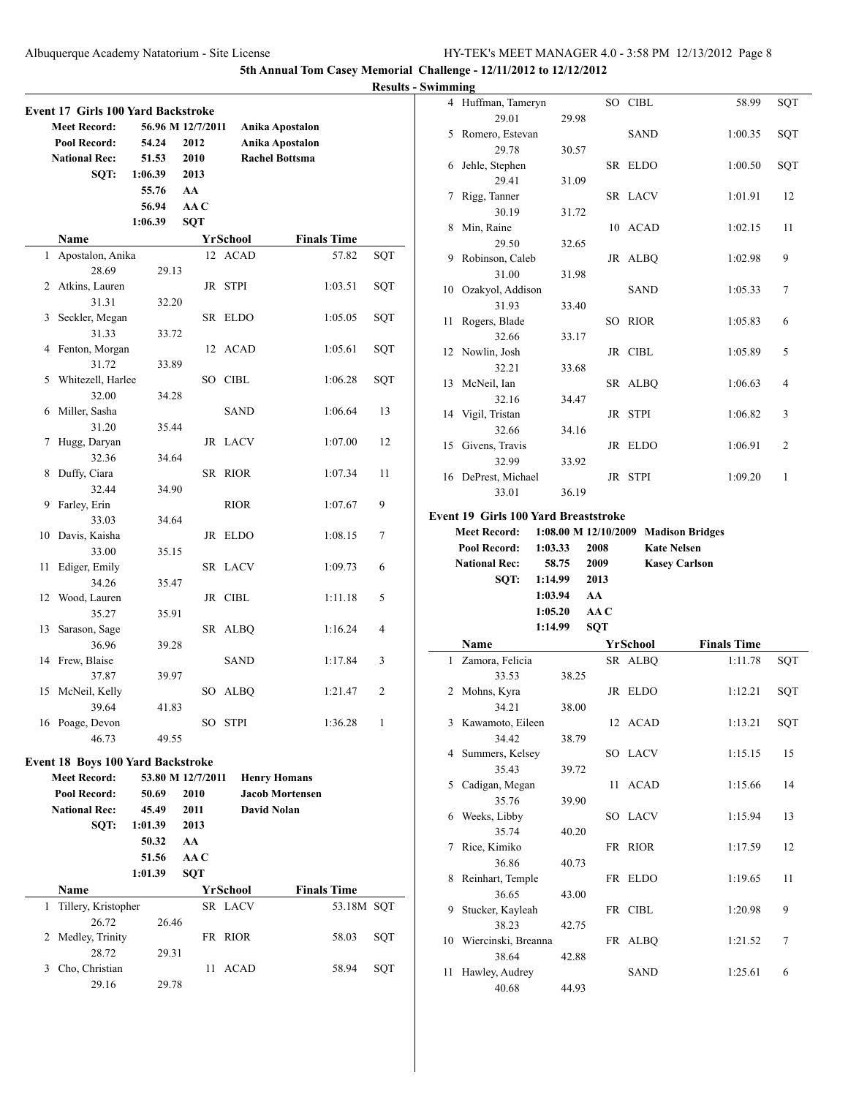**5th Annual Tom Casey Memorial Chall** 

**Results - Swin** 

|    |                                          |         |                   |             |                        | <b>Results</b> |
|----|------------------------------------------|---------|-------------------|-------------|------------------------|----------------|
|    | Event 17 Girls 100 Yard Backstroke       |         |                   |             |                        |                |
|    | <b>Meet Record:</b>                      |         | 56.96 M 12/7/2011 |             | Anika Apostalon        |                |
|    | Pool Record:                             | 54.24   | 2012              |             | <b>Anika Apostalon</b> |                |
|    | <b>National Rec:</b>                     | 51.53   | 2010              |             | <b>Rachel Bottsma</b>  |                |
|    | SQT:                                     | 1:06.39 | 2013              |             |                        |                |
|    |                                          | 55.76   | AA                |             |                        |                |
|    |                                          | 56.94   | AA C              |             |                        |                |
|    |                                          | 1:06.39 | <b>SQT</b>        |             |                        |                |
|    | Name                                     |         |                   | YrSchool    | <b>Finals Time</b>     |                |
| 1  | Apostalon, Anika<br>28.69                |         |                   | 12 ACAD     | 57.82                  | SOT            |
| 2  | Atkins, Lauren                           | 29.13   |                   | JR STPI     | 1:03.51                | SQT            |
|    | 31.31                                    | 32.20   |                   |             |                        |                |
| 3  | Seckler, Megan                           |         |                   | SR ELDO     | 1:05.05                | SQT            |
|    | 31.33                                    | 33.72   |                   |             |                        |                |
| 4  | Fenton, Morgan                           |         |                   | 12 ACAD     | 1:05.61                | SQT            |
|    | 31.72                                    | 33.89   |                   |             |                        |                |
| 5  | Whitezell, Harlee                        |         |                   | SO CIBL     | 1:06.28                | SQT            |
|    | 32.00                                    | 34.28   |                   |             |                        |                |
| 6  | Miller, Sasha                            |         |                   | <b>SAND</b> | 1:06.64                | 13             |
|    | 31.20                                    | 35.44   |                   |             |                        |                |
| 7  | Hugg, Daryan                             |         |                   | JR LACV     | 1:07.00                | 12             |
|    | 32.36                                    | 34.64   |                   |             |                        |                |
| 8  | Duffy, Ciara                             |         |                   | SR RIOR     | 1:07.34                | 11             |
|    | 32.44                                    | 34.90   |                   |             |                        |                |
| 9  | Farley, Erin                             |         |                   | <b>RIOR</b> | 1:07.67                | 9              |
|    | 33.03                                    | 34.64   |                   |             |                        |                |
| 10 | Davis, Kaisha                            |         |                   | JR ELDO     | 1:08.15                | 7              |
| 11 | 33.00<br>Ediger, Emily                   | 35.15   |                   | SR LACV     | 1:09.73                | 6              |
|    | 34.26                                    | 35.47   |                   |             |                        |                |
| 12 | Wood, Lauren                             |         |                   | JR CIBL     | 1:11.18                | 5              |
|    | 35.27                                    | 35.91   |                   |             |                        |                |
| 13 | Sarason, Sage                            |         |                   | SR ALBQ     | 1:16.24                | 4              |
|    | 36.96                                    | 39.28   |                   |             |                        |                |
| 14 | Frew, Blaise                             |         |                   | <b>SAND</b> | 1:17.84                | 3              |
|    | 37.87                                    | 39.97   |                   |             |                        |                |
| 15 | McNeil, Kelly                            |         |                   | SO ALBQ     | 1:21.47                | $\overline{c}$ |
|    | 39.64                                    | 41.83   |                   |             |                        |                |
|    | 16 Poage, Devon                          |         | SO -              | <b>STPI</b> | 1:36.28                | 1              |
|    | 46.73                                    | 49.55   |                   |             |                        |                |
|    | <b>Event 18 Boys 100 Yard Backstroke</b> |         |                   |             |                        |                |
|    | <b>Meet Record:</b>                      |         | 53.80 M 12/7/2011 |             | <b>Henry Homans</b>    |                |
|    | Pool Record:                             | 50.69   | 2010              |             | <b>Jacob Mortensen</b> |                |
|    | <b>National Rec:</b>                     | 45.49   | 2011              |             | David Nolan            |                |
|    | SQT:                                     | 1:01.39 | 2013              |             |                        |                |
|    |                                          | 50.32   | AA                |             |                        |                |
|    |                                          | 51.56   | AA C              |             |                        |                |
|    |                                          | 1:01.39 | <b>SQT</b>        |             |                        |                |
|    | Name                                     |         |                   | YrSchool    | <b>Finals Time</b>     |                |
| 1  | Tillery, Kristopher                      |         |                   | SR LACV     | 53.18M SQT             |                |
|    | 26.72                                    | 26.46   |                   |             |                        |                |
| 2  | Medley, Trinity                          |         |                   | FR RIOR     | 58.03                  | SQT            |
|    | 28.72                                    | 29.31   |                   |             |                        |                |
| 3  | Cho, Christian                           |         | 11                | ACAD        | 58.94                  | SQT            |
|    | 29.16                                    | 29.78   |                   |             |                        |                |
|    |                                          |         |                   |             |                        |                |

|         | hallenge - 12/11/2012 to 12/12/2012  |         |      |                                      |                    |     |
|---------|--------------------------------------|---------|------|--------------------------------------|--------------------|-----|
| wimming |                                      |         |      |                                      |                    |     |
| 4       | Huffman, Tameryn                     |         |      | SO CIBL                              | 58.99              | SQT |
|         | 29.01                                | 29.98   |      |                                      |                    |     |
| 5       | Romero, Estevan                      |         |      | SAND                                 | 1:00.35            | SQT |
|         | 29.78                                | 30.57   |      | ELDO                                 |                    |     |
| 6       | Jehle, Stephen<br>29.41              | 31.09   | SR   |                                      | 1:00.50            | SQT |
| 7       | Rigg, Tanner                         |         |      | SR LACV                              | 1:01.91            | 12  |
|         | 30.19                                | 31.72   |      |                                      |                    |     |
| 8       | Min, Raine                           |         | 10   | ACAD                                 | 1:02.15            | 11  |
|         | 29.50                                | 32.65   |      |                                      |                    |     |
| 9       | Robinson, Caleb                      |         | JR   | ALBQ                                 | 1:02.98            | 9   |
|         | 31.00                                | 31.98   |      |                                      |                    |     |
| 10      | Ozakyol, Addison                     |         |      | SAND                                 | 1:05.33            | 7   |
|         | 31.93                                | 33.40   |      |                                      |                    |     |
| 11      | Rogers, Blade                        |         | SО   | RIOR                                 | 1:05.83            | 6   |
|         | 32.66                                | 33.17   |      |                                      |                    |     |
| 12      | Nowlin, Josh                         |         |      | JR CIBL                              | 1:05.89            | 5   |
|         | 32.21                                | 33.68   |      |                                      |                    |     |
| 13      | McNeil, Ian                          |         | SR   | ALBQ                                 | 1:06.63            | 4   |
|         | 32.16                                | 34.47   |      |                                      |                    |     |
| 14      | Vigil, Tristan                       |         |      | JR STPI                              | 1:06.82            | 3   |
|         | 32.66                                | 34.16   |      |                                      |                    |     |
| 15      | Givens, Travis                       |         |      | JR ELDO                              | 1:06.91            | 2   |
|         | 32.99                                | 33.92   |      |                                      |                    |     |
|         | 16 DePrest, Michael                  |         |      | JR STPI                              | 1:09.20            | 1   |
|         | 33.01                                | 36.19   |      |                                      |                    |     |
|         |                                      |         |      |                                      |                    |     |
|         | Event 19 Girls 100 Yard Breaststroke |         |      |                                      |                    |     |
|         | <b>Meet Record:</b>                  |         |      | 1:08.00 M 12/10/2009 Madison Bridges |                    |     |
|         | Pool Record:                         | 1:03.33 | 2008 | <b>Kate Nelsen</b>                   |                    |     |
|         | <b>National Rec:</b>                 | 58.75   | 2009 | <b>Kasey Carlson</b>                 |                    |     |
|         | SQT:                                 | 1:14.99 | 2013 |                                      |                    |     |
|         |                                      | 1:03.94 | AA   |                                      |                    |     |
|         |                                      | 1:05.20 | AA C |                                      |                    |     |
|         |                                      | 1:14.99 | SQT  |                                      |                    |     |
|         | Name                                 |         |      | YrSchool                             | <b>Finals Time</b> |     |
| 1       | Zamora, Felicia                      |         |      | SR ALBQ                              | 1:11.78            | SQT |
|         | 33.53                                | 38.25   |      |                                      |                    |     |
|         | 2 Mohns, Kyra                        |         |      | JR ELDO                              | 1:12.21            | SQT |
|         | 34.21                                | 38.00   |      |                                      |                    |     |
| 3       | Kawamoto, Eileen                     |         | 12   | ACAD                                 | 1:13.21            | SQT |
|         | 34.42                                | 38.79   |      |                                      |                    |     |
| 4       | Summers, Kelsey                      |         |      | SO LACV                              | 1:15.15            | 15  |
|         | 35.43                                | 39.72   |      |                                      |                    |     |
| 5       | Cadigan, Megan                       |         | 11   | <b>ACAD</b>                          | 1:15.66            | 14  |
|         | 35.76                                | 39.90   |      |                                      |                    |     |
| 6       | Weeks, Libby<br>35.74                |         |      | SO LACV                              | 1:15.94            | 13  |
| 7       |                                      | 40.20   |      | FR RIOR                              | 1:17.59            | 12  |
|         | Rice, Kimiko<br>36.86                | 40.73   |      |                                      |                    |     |
| 8       | Reinhart, Temple                     |         |      | FR ELDO                              | 1:19.65            | 11  |
|         | 36.65                                | 43.00   |      |                                      |                    |     |
| 9       | Stucker, Kayleah                     |         |      | FR CIBL                              | 1:20.98            | 9   |
|         | 38.23                                | 42.75   |      |                                      |                    |     |
| 10      | Wiercinski, Breanna                  |         |      | FR ALBQ                              | 1:21.52            | 7   |

11 Hawley, Audrey SAND 1:25.61 6

40.68 44.93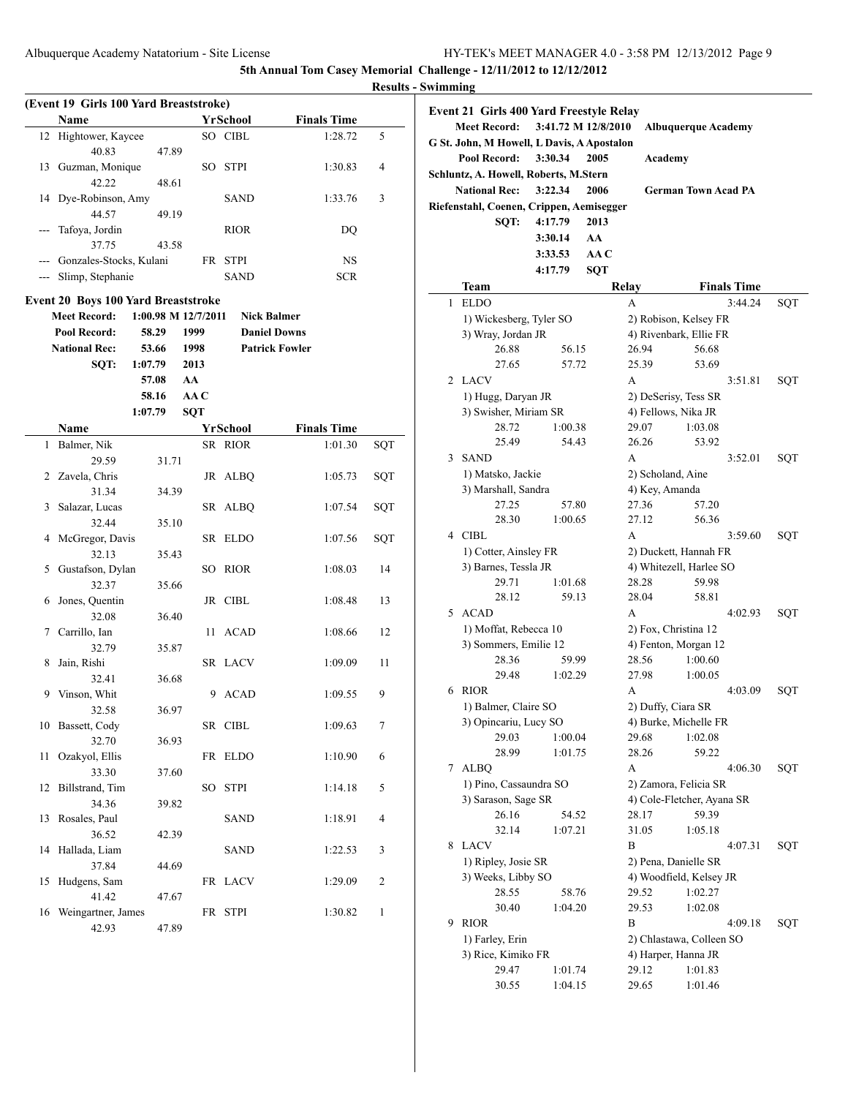|         |                                                                   |                     |            |                     |                       | <b>Results</b> |
|---------|-------------------------------------------------------------------|---------------------|------------|---------------------|-----------------------|----------------|
|         | (Event 19 Girls 100 Yard Breaststroke)                            |                     |            |                     |                       |                |
|         | Name                                                              |                     |            | <b>YrSchool</b>     | <b>Finals Time</b>    |                |
|         | 12 Hightower, Kaycee                                              |                     |            | SO CIBL             | 1:28.72               | 5              |
|         | 40.83                                                             | 47.89               |            |                     |                       |                |
|         | 13 Guzman, Monique                                                |                     | SO         | <b>STPI</b>         | 1:30.83               | 4              |
|         | 42.22                                                             | 48.61               |            |                     |                       |                |
|         | 14 Dye-Robinson, Amy                                              |                     |            | SAND                | 1:33.76               | 3              |
|         | 44.57                                                             | 49.19               |            |                     |                       |                |
| $- - -$ | Tafoya, Jordin                                                    |                     |            | <b>RIOR</b>         | DQ                    |                |
|         | 37.75                                                             | 43.58               |            |                     |                       |                |
|         | --- Gonzales-Stocks, Kulani                                       |                     |            | FR STPI             | NS                    |                |
|         | --- Slimp, Stephanie                                              |                     |            | <b>SAND</b>         | <b>SCR</b>            |                |
|         |                                                                   |                     |            |                     |                       |                |
|         | <b>Event 20 Boys 100 Yard Breaststroke</b><br><b>Meet Record:</b> | 1:00.98 M 12/7/2011 |            |                     |                       |                |
|         |                                                                   |                     |            | <b>Nick Balmer</b>  |                       |                |
|         | Pool Record:                                                      | 58.29               | 1999       | <b>Daniel Downs</b> |                       |                |
|         | <b>National Rec:</b>                                              | 53.66               | 1998       |                     | <b>Patrick Fowler</b> |                |
|         | SQT:                                                              | 1:07.79             | 2013       |                     |                       |                |
|         |                                                                   | 57.08               | AA         |                     |                       |                |
|         |                                                                   | 58.16               | AA C       |                     |                       |                |
|         |                                                                   | 1:07.79             | <b>SQT</b> |                     |                       |                |
|         | Name                                                              |                     |            | YrSchool            | <b>Finals Time</b>    |                |
| 1       | Balmer, Nik                                                       |                     |            | SR RIOR             | 1:01.30               | SQT            |
|         | 29.59                                                             | 31.71               |            |                     |                       |                |
|         | 2 Zavela, Chris                                                   |                     |            | JR ALBQ             | 1:05.73               | SQT            |
|         | 31.34                                                             | 34.39               |            |                     |                       |                |
| 3       | Salazar, Lucas<br>32.44                                           |                     |            | SR ALBQ             | 1:07.54               | SQT            |
|         |                                                                   | 35.10               |            | SR ELDO             |                       |                |
|         | 4 McGregor, Davis<br>32.13                                        |                     |            |                     | 1:07.56               | SQT            |
| 5       | Gustafson, Dylan                                                  | 35.43               | SО         | RIOR                | 1:08.03               | 14             |
|         | 32.37                                                             | 35.66               |            |                     |                       |                |
|         | 6 Jones, Quentin                                                  |                     |            | JR CIBL             | 1:08.48               | 13             |
|         | 32.08                                                             | 36.40               |            |                     |                       |                |
|         | 7 Carrillo, Ian                                                   |                     | 11 -       | <b>ACAD</b>         | 1:08.66               | 12             |
|         | 32.79                                                             | 35.87               |            |                     |                       |                |
| 8       | Jain, Rishi                                                       |                     |            | SR LACV             | 1:09.09               | 11             |
|         | 32.41                                                             | 36.68               |            |                     |                       |                |
| 9       | Vinson, Whit                                                      |                     | 9          | <b>ACAD</b>         | 1:09.55               | 9              |
|         | 32.58                                                             | 36.97               |            |                     |                       |                |
|         | 10 Bassett, Cody                                                  |                     |            | SR CIBL             | 1:09.63               | 7              |
|         | 32.70                                                             | 36.93               |            |                     |                       |                |
| 11      | Ozakyol, Ellis                                                    |                     |            | FR ELDO             | 1:10.90               | 6              |
|         | 33.30                                                             | 37.60               |            |                     |                       |                |
| 12      | Billstrand, Tim                                                   |                     | SO         | <b>STPI</b>         | 1:14.18               | 5              |
|         | 34.36                                                             | 39.82               |            |                     |                       |                |
| 13      | Rosales, Paul                                                     |                     |            | SAND                | 1:18.91               | 4              |
|         | 36.52                                                             | 42.39               |            |                     |                       |                |
| 14      | Hallada, Liam                                                     |                     |            | <b>SAND</b>         | 1:22.53               | 3              |
|         | 37.84                                                             | 44.69               |            |                     |                       |                |
| 15      | Hudgens, Sam                                                      |                     |            | FR LACV             | 1:29.09               | 2              |
|         | 41.42                                                             | 47.67               |            |                     |                       |                |
| 16      | Weingartner, James                                                |                     |            | FR STPI             | 1:30.82               | 1              |
|         | 42.93                                                             | 47.89               |            |                     |                       |                |
|         |                                                                   |                     |            |                     |                       |                |

| ,,,,,,,,,,,,,                                                                                                       |                                            |         |            |                    |                            |     |
|---------------------------------------------------------------------------------------------------------------------|--------------------------------------------|---------|------------|--------------------|----------------------------|-----|
| Event 21 Girls 400 Yard Freestyle Relay<br>3:41.72 M 12/8/2010<br><b>Meet Record:</b><br><b>Albuquerque Academy</b> |                                            |         |            |                    |                            |     |
|                                                                                                                     | G St. John, M Howell, L Davis, A Apostalon |         |            |                    |                            |     |
|                                                                                                                     | <b>Pool Record:</b>                        | 3:30.34 | 2005       | Academy            |                            |     |
|                                                                                                                     | Schluntz, A. Howell, Roberts, M.Stern      |         |            |                    |                            |     |
|                                                                                                                     |                                            |         |            |                    |                            |     |
|                                                                                                                     | <b>National Rec:</b>                       | 3:22.34 | 2006       |                    | <b>German Town Acad PA</b> |     |
|                                                                                                                     | Riefenstahl, Coenen, Crippen, Aemisegger   |         |            |                    |                            |     |
|                                                                                                                     | SQT:                                       | 4:17.79 | 2013       |                    |                            |     |
|                                                                                                                     |                                            | 3:30.14 | AA         |                    |                            |     |
|                                                                                                                     |                                            | 3:33.53 | AA C       |                    |                            |     |
|                                                                                                                     |                                            | 4:17.79 | <b>SQT</b> |                    |                            |     |
|                                                                                                                     | Team                                       |         |            | Relay              | <b>Finals Time</b>         |     |
| 1                                                                                                                   | <b>ELDO</b>                                |         |            | A                  | 3:44.24                    | SQT |
|                                                                                                                     | 1) Wickesberg, Tyler SO                    |         |            |                    | 2) Robison, Kelsey FR      |     |
|                                                                                                                     |                                            |         |            |                    |                            |     |
|                                                                                                                     | 3) Wray, Jordan JR                         |         |            |                    | 4) Rivenbark, Ellie FR     |     |
|                                                                                                                     | 26.88                                      | 56.15   |            | 26.94              | 56.68                      |     |
|                                                                                                                     | 27.65                                      | 57.72   |            | 25.39              | 53.69                      |     |
| 2                                                                                                                   | LACV                                       |         |            | A                  | 3:51.81                    | SQT |
|                                                                                                                     | 1) Hugg, Daryan JR                         |         |            |                    | 2) DeSerisy, Tess SR       |     |
|                                                                                                                     | 3) Swisher, Miriam SR                      |         |            |                    | 4) Fellows, Nika JR        |     |
|                                                                                                                     | 28.72                                      | 1:00.38 |            | 29.07              | 1:03.08                    |     |
|                                                                                                                     | 25.49                                      | 54.43   |            | 26.26              | 53.92                      |     |
|                                                                                                                     | 3 SAND                                     |         |            | A                  | 3:52.01                    | SQT |
|                                                                                                                     | 1) Matsko, Jackie                          |         |            | 2) Scholand, Aine  |                            |     |
|                                                                                                                     | 3) Marshall, Sandra                        |         |            | 4) Key, Amanda     |                            |     |
|                                                                                                                     | 27.25                                      | 57.80   |            | 27.36              | 57.20                      |     |
|                                                                                                                     | 28.30                                      | 1:00.65 |            | 27.12              | 56.36                      |     |
|                                                                                                                     | 4 CIBL                                     |         |            | A                  | 3:59.60                    | SQT |
|                                                                                                                     | 1) Cotter, Ainsley FR                      |         |            |                    | 2) Duckett, Hannah FR      |     |
|                                                                                                                     | 3) Barnes, Tessla JR                       |         |            |                    | 4) Whitezell, Harlee SO    |     |
|                                                                                                                     | 29.71                                      | 1:01.68 |            | 28.28              | 59.98                      |     |
|                                                                                                                     | 28.12                                      | 59.13   |            | 28.04              | 58.81                      |     |
| 5                                                                                                                   | <b>ACAD</b>                                |         |            | A                  | 4:02.93                    | SQT |
|                                                                                                                     | 1) Moffat, Rebecca 10                      |         |            |                    | 2) Fox, Christina 12       |     |
|                                                                                                                     | 3) Sommers, Emilie 12                      |         |            |                    | 4) Fenton, Morgan 12       |     |
|                                                                                                                     | 28.36                                      | 59.99   |            | 28.56              | 1:00.60                    |     |
|                                                                                                                     | 29.48                                      | 1:02.29 |            | 27.98              | 1:00.05                    |     |
| 6                                                                                                                   | <b>RIOR</b>                                |         |            | А                  | 4:03.09                    | SQT |
|                                                                                                                     |                                            |         |            |                    |                            |     |
|                                                                                                                     | 1) Balmer, Claire SO                       |         |            | 2) Duffy, Ciara SR |                            |     |
|                                                                                                                     | 3) Opincariu, Lucy SO<br>29.03             |         |            |                    | 4) Burke, Michelle FR      |     |
|                                                                                                                     |                                            | 1:00.04 |            | 29.68              | 1:02.08                    |     |
|                                                                                                                     | 28.99                                      | 1:01.75 |            | 28.26              | 59.22                      |     |
|                                                                                                                     | 7 ALBQ                                     |         |            | А                  | 4:06.30                    | SQT |
|                                                                                                                     | 1) Pino, Cassaundra SO                     |         |            |                    | 2) Zamora, Felicia SR      |     |
|                                                                                                                     | 3) Sarason, Sage SR                        |         |            |                    | 4) Cole-Fletcher, Ayana SR |     |
|                                                                                                                     | 26.16                                      | 54.52   |            | 28.17              | 59.39                      |     |
|                                                                                                                     | 32.14                                      | 1:07.21 |            | 31.05              | 1:05.18                    |     |
|                                                                                                                     | 8 LACV                                     |         |            | B                  | 4:07.31                    | SQT |
|                                                                                                                     | 1) Ripley, Josie SR                        |         |            |                    | 2) Pena, Danielle SR       |     |
|                                                                                                                     | 3) Weeks, Libby SO                         |         |            |                    | 4) Woodfield, Kelsey JR    |     |
|                                                                                                                     | 28.55                                      | 58.76   |            | 29.52              | 1:02.27                    |     |
|                                                                                                                     | 30.40                                      | 1:04.20 |            | 29.53              | 1:02.08                    |     |
| 9                                                                                                                   | <b>RIOR</b>                                |         |            | B                  | 4:09.18                    | SQT |
|                                                                                                                     | 1) Farley, Erin                            |         |            |                    | 2) Chlastawa, Colleen SO   |     |
|                                                                                                                     | 3) Rice, Kimiko FR                         |         |            |                    | 4) Harper, Hanna JR        |     |
|                                                                                                                     | 29.47                                      | 1:01.74 |            | 29.12              | 1:01.83                    |     |
|                                                                                                                     | 30.55                                      | 1:04.15 |            | 29.65              | 1:01.46                    |     |
|                                                                                                                     |                                            |         |            |                    |                            |     |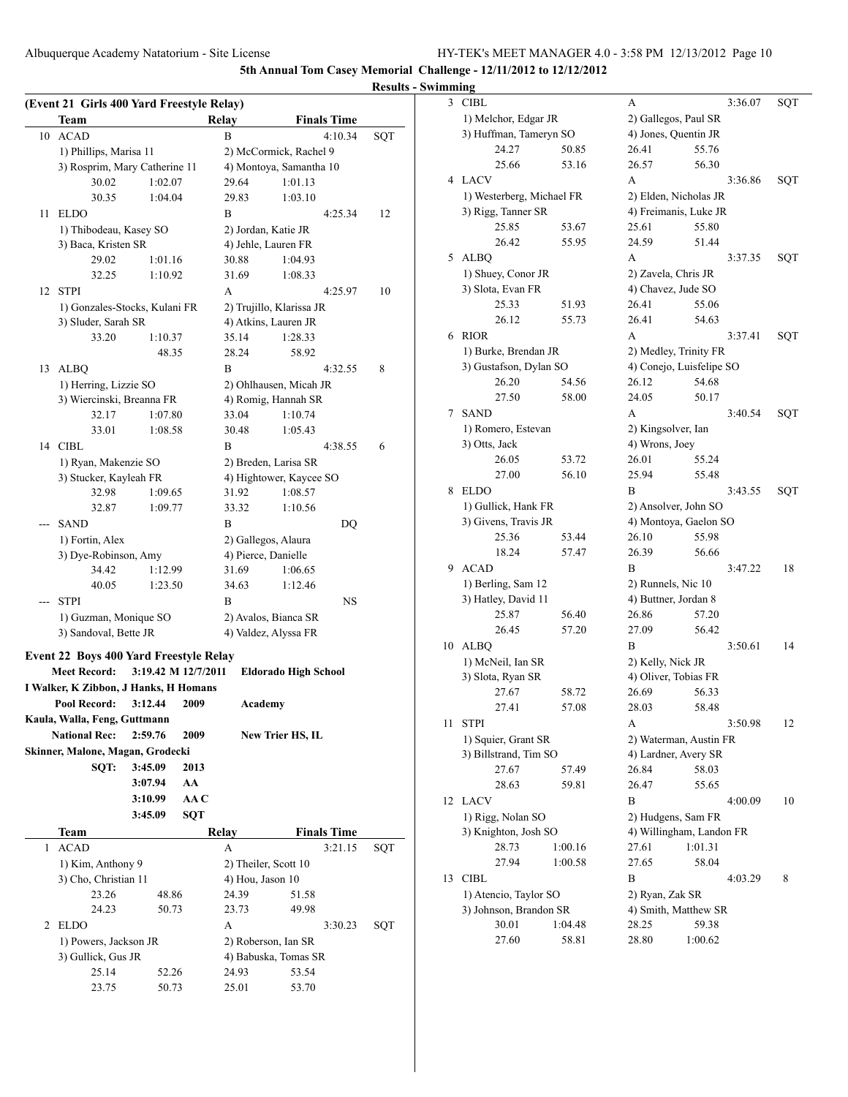|     | (Event 21 Girls 400 Yard Freestyle Relay)     |                     |            |                |                               |     |
|-----|-----------------------------------------------|---------------------|------------|----------------|-------------------------------|-----|
|     | Team                                          |                     |            | Relay          | <b>Finals Time</b>            |     |
| 10  | <b>ACAD</b>                                   |                     |            | B              | 4:10.34                       | SQT |
|     | 1) Phillips, Marisa 11                        |                     |            |                | 2) McCormick, Rachel 9        |     |
|     | 3) Rosprim, Mary Catherine 11                 |                     |            |                | 4) Montoya, Samantha 10       |     |
|     | 30.02                                         | 1:02.07             |            | 29.64          | 1:01.13                       |     |
|     | 30.35                                         | 1:04.04             |            | 29.83          | 1:03.10                       |     |
| 11  | <b>ELDO</b>                                   |                     |            | B              | 4:25.34                       | 12  |
|     | 1) Thibodeau, Kasey SO                        |                     |            |                | 2) Jordan, Katie JR           |     |
|     | 3) Baca, Kristen SR                           |                     |            |                | 4) Jehle, Lauren FR           |     |
|     | 29.02<br>32.25                                | 1:01.16<br>1:10.92  |            | 30.88<br>31.69 | 1:04.93<br>1:08.33            |     |
| 12  | <b>STPI</b>                                   |                     |            | А              | 4:25.97                       | 10  |
|     | 1) Gonzales-Stocks, Kulani FR                 |                     |            |                | 2) Trujillo, Klarissa JR      |     |
|     | 3) Sluder, Sarah SR                           |                     |            |                | 4) Atkins, Lauren JR          |     |
|     | 33.20                                         | 1:10.37             |            | 35.14          | 1:28.33                       |     |
|     |                                               | 48.35               |            | 28.24          | 58.92                         |     |
| 13  | ALBQ                                          |                     |            | B              | 4:32.55                       | 8   |
|     | 1) Herring, Lizzie SO                         |                     |            |                | 2) Ohlhausen, Micah JR        |     |
|     | 3) Wiercinski, Breanna FR                     |                     |            |                | 4) Romig, Hannah SR           |     |
|     | 32.17                                         | 1:07.80             |            | 33.04          | 1:10.74                       |     |
|     | 33.01                                         | 1:08.58             |            | 30.48          | 1:05.43                       |     |
|     | 14 CIBL                                       |                     |            | B              | 4:38.55                       | 6   |
|     | 1) Ryan, Makenzie SO                          |                     |            |                | 2) Breden, Larisa SR          |     |
|     | 3) Stucker, Kayleah FR                        |                     |            |                | 4) Hightower, Kaycee SO       |     |
|     | 32.98                                         | 1:09.65             |            | 31.92          | 1:08.57                       |     |
|     | 32.87                                         | 1:09.77             |            | 33.32          | 1:10.56                       |     |
| --- | <b>SAND</b>                                   |                     |            | B              | DQ                            |     |
|     | 1) Fortin, Alex                               |                     |            |                | 2) Gallegos, Alaura           |     |
|     | 3) Dye-Robinson, Amy                          |                     |            |                | 4) Pierce, Danielle           |     |
|     | 34.42                                         | 1:12.99             |            | 31.69          | 1:06.65                       |     |
|     | 40.05                                         | 1:23.50             |            | 34.63          | 1:12.46                       |     |
|     | <b>STPI</b>                                   |                     |            | B              | NS                            |     |
|     | 1) Guzman, Monique SO                         |                     |            |                | 2) Avalos, Bianca SR          |     |
|     | 3) Sandoval, Bette JR                         |                     |            |                | 4) Valdez, Alyssa FR          |     |
|     | <b>Event 22 Boys 400 Yard Freestyle Relay</b> |                     |            |                |                               |     |
|     | <b>Meet Record:</b>                           | 3:19.42 M 12/7/2011 |            |                | Eldorado High School          |     |
|     | I Walker, K Zibbon, J Hanks, H Homans         |                     |            |                |                               |     |
|     | Pool Record:                                  | 3:12.44             | 2009       |                | Academy                       |     |
|     | Kaula, Walla, Feng, Guttmann                  |                     |            |                |                               |     |
|     | <b>National Rec:</b>                          | 2:59.76             | 2009       |                | New Trier HS, IL              |     |
|     | Skinner, Malone, Magan, Grodecki              |                     |            |                |                               |     |
|     | SOT:                                          | 3:45.09             | 2013       |                |                               |     |
|     |                                               | 3:07.94             | AA         |                |                               |     |
|     |                                               | 3:10.99             | AA C       |                |                               |     |
|     |                                               | 3:45.09             | <b>SQT</b> |                |                               |     |
|     | Team                                          |                     |            | Relay          | <b>Finals Time</b>            |     |
| 1   | <b>ACAD</b>                                   |                     |            | A              | 3:21.15                       | SQT |
|     | 1) Kim, Anthony 9                             |                     |            |                | 2) Theiler, Scott 10          |     |
|     | 3) Cho, Christian 11                          |                     |            |                | 4) Hou, Jason 10              |     |
|     | 23.26                                         | 48.86               |            | 24.39          | 51.58                         |     |
|     | 24.23                                         | 50.73               |            | 23.73          | 49.98                         |     |
| 2   | <b>ELDO</b>                                   |                     |            | A              | 3:30.23                       | SQT |
|     | 1) Powers, Jackson JR                         |                     |            |                | 2) Roberson, Ian SR           |     |
|     | 3) Gullick, Gus JR<br>25.14                   | 52.26               |            | 24.93          | 4) Babuska, Tomas SR<br>53.54 |     |
|     | 23.75                                         | 50.73               |            | 25.01          | 53.70                         |     |
|     |                                               |                     |            |                |                               |     |

| 3  | CIBL                      |         | А                  | 3:36.07                  | SQT |  |  |
|----|---------------------------|---------|--------------------|--------------------------|-----|--|--|
|    | 1) Melchor, Edgar JR      |         |                    | 2) Gallegos, Paul SR     |     |  |  |
|    | 3) Huffman, Tameryn SO    |         |                    | 4) Jones, Quentin JR     |     |  |  |
|    | 24.27                     | 50.85   | 26.41              | 55.76                    |     |  |  |
|    | 25.66                     | 53.16   | 26.57              | 56.30                    |     |  |  |
| 4  | <b>LACV</b>               |         | А                  | 3:36.86                  | SQT |  |  |
|    | 1) Westerberg, Michael FR |         |                    | 2) Elden, Nicholas JR    |     |  |  |
|    | 3) Rigg, Tanner SR        |         |                    | 4) Freimanis, Luke JR    |     |  |  |
|    | 25.85                     | 53.67   | 25.61              | 55.80                    |     |  |  |
|    | 26.42                     | 55.95   | 24.59              | 51.44                    |     |  |  |
|    |                           |         |                    |                          |     |  |  |
| 5  | <b>ALBQ</b>               |         | A                  | 3:37.35                  | SQT |  |  |
|    | 1) Shuey, Conor JR        |         |                    | 2) Zavela, Chris JR      |     |  |  |
|    | 3) Slota, Evan FR         |         |                    | 4) Chavez, Jude SO       |     |  |  |
|    | 25.33                     | 51.93   | 26.41              | 55.06                    |     |  |  |
|    | 26.12                     | 55.73   | 26.41              | 54.63                    |     |  |  |
| 6  | <b>RIOR</b>               |         | A                  | 3:37.41                  | SQT |  |  |
|    | 1) Burke, Brendan JR      |         |                    | 2) Medley, Trinity FR    |     |  |  |
|    | 3) Gustafson, Dylan SO    |         |                    | 4) Conejo, Luisfelipe SO |     |  |  |
|    | 26.20                     | 54.56   | 26.12              | 54.68                    |     |  |  |
|    | 27.50                     | 58.00   | 24.05              | 50.17                    |     |  |  |
| 7  | <b>SAND</b>               |         | A                  | 3:40.54                  | SQT |  |  |
|    | 1) Romero, Estevan        |         | 2) Kingsolver, Ian |                          |     |  |  |
|    | 3) Otts, Jack             |         | 4) Wrons, Joev     |                          |     |  |  |
|    | 26.05                     | 53.72   | 26.01              | 55.24                    |     |  |  |
|    | 27.00                     | 56.10   | 25.94              | 55.48                    |     |  |  |
|    |                           |         |                    |                          |     |  |  |
| 8  | <b>ELDO</b>               |         | В                  | 3:43.55                  | SQT |  |  |
|    | 1) Gullick, Hank FR       |         |                    | 2) Ansolver, John SO     |     |  |  |
|    | 3) Givens, Travis JR      |         |                    | 4) Montoya, Gaelon SO    |     |  |  |
|    | 25.36                     | 53.44   | 26.10              | 55.98                    |     |  |  |
|    | 18.24                     | 57.47   | 26.39              | 56.66                    |     |  |  |
| 9. | <b>ACAD</b>               |         | B                  | 3:47.22                  | 18  |  |  |
|    | 1) Berling, Sam 12        |         | 2) Runnels, Nic 10 |                          |     |  |  |
|    | 3) Hatley, David 11       |         |                    | 4) Buttner, Jordan 8     |     |  |  |
|    | 25.87                     | 56.40   | 26.86              | 57.20                    |     |  |  |
|    | 26.45                     | 57.20   | 27.09              | 56.42                    |     |  |  |
| 10 | <b>ALBO</b>               |         | В                  | 3:50.61                  | 14  |  |  |
|    | 1) McNeil, Ian SR         |         | 2) Kelly, Nick JR  |                          |     |  |  |
|    | 3) Slota, Ryan SR         |         |                    | 4) Oliver, Tobias FR     |     |  |  |
|    | 27.67                     | 58.72   | 26.69              | 56.33                    |     |  |  |
|    | 27.41                     | 57.08   | 28.03              | 58.48                    |     |  |  |
| 11 | STPI                      |         | А                  | 3:50.98                  | 12  |  |  |
|    | 1) Squier, Grant SR       |         |                    | 2) Waterman, Austin FR   |     |  |  |
|    | 3) Billstrand, Tim SO     |         |                    | 4) Lardner, Avery SR     |     |  |  |
|    | 27.67                     | 57.49   | 26.84              | 58.03                    |     |  |  |
|    | 28.63                     | 59.81   | 26.47              | 55.65                    |     |  |  |
| 12 | <b>LACV</b>               |         | B                  | 4:00.09                  | 10  |  |  |
|    |                           |         |                    |                          |     |  |  |
|    | 1) Rigg, Nolan SO         |         |                    | 2) Hudgens, Sam FR       |     |  |  |
|    | 3) Knighton, Josh SO      |         |                    | 4) Willingham, Landon FR |     |  |  |
|    | 28.73                     | 1:00.16 | 27.61              | 1:01.31                  |     |  |  |
|    | 27.94                     | 1:00.58 | 27.65              | 58.04                    |     |  |  |
| 13 | <b>CIBL</b>               |         | B                  | 4:03.29                  | 8   |  |  |
|    | 1) Atencio, Taylor SO     |         | 2) Ryan, Zak SR    |                          |     |  |  |
|    | 3) Johnson, Brandon SR    |         |                    | 4) Smith, Matthew SR     |     |  |  |
|    | 30.01                     | 1:04.48 | 28.25              | 59.38                    |     |  |  |
|    | 27.60                     | 58.81   | 28.80              | 1:00.62                  |     |  |  |
|    |                           |         |                    |                          |     |  |  |